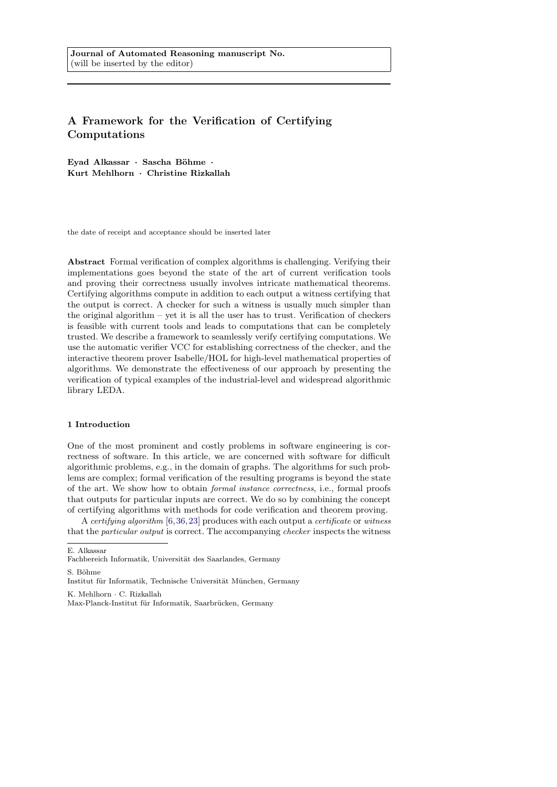# A Framework for the Verification of Certifying Computations

Eyad Alkassar · Sascha Böhme · Kurt Mehlhorn · Christine Rizkallah

the date of receipt and acceptance should be inserted later

Abstract Formal verification of complex algorithms is challenging. Verifying their implementations goes beyond the state of the art of current verification tools and proving their correctness usually involves intricate mathematical theorems. Certifying algorithms compute in addition to each output a witness certifying that the output is correct. A checker for such a witness is usually much simpler than the original algorithm – yet it is all the user has to trust. Verification of checkers is feasible with current tools and leads to computations that can be completely trusted. We describe a framework to seamlessly verify certifying computations. We use the automatic verifier VCC for establishing correctness of the checker, and the interactive theorem prover Isabelle/HOL for high-level mathematical properties of algorithms. We demonstrate the effectiveness of our approach by presenting the verification of typical examples of the industrial-level and widespread algorithmic library LEDA.

# 1 Introduction

One of the most prominent and costly problems in software engineering is correctness of software. In this article, we are concerned with software for difficult algorithmic problems, e.g., in the domain of graphs. The algorithms for such problems are complex; formal verification of the resulting programs is beyond the state of the art. We show how to obtain formal instance correctness, i.e., formal proofs that outputs for particular inputs are correct. We do so by combining the concept of certifying algorithms with methods for code verification and theorem proving.

A certifying algorithm [\[6,](#page-30-0)[36,](#page-31-0)[23\]](#page-31-1) produces with each output a certificate or witness that the particular output is correct. The accompanying checker inspects the witness

S. Böhme

Institut für Informatik, Technische Universität München, Germany

K. Mehlhorn · C. Rizkallah

E. Alkassar

Fachbereich Informatik, Universität des Saarlandes, Germany

Max-Planck-Institut für Informatik, Saarbrücken, Germany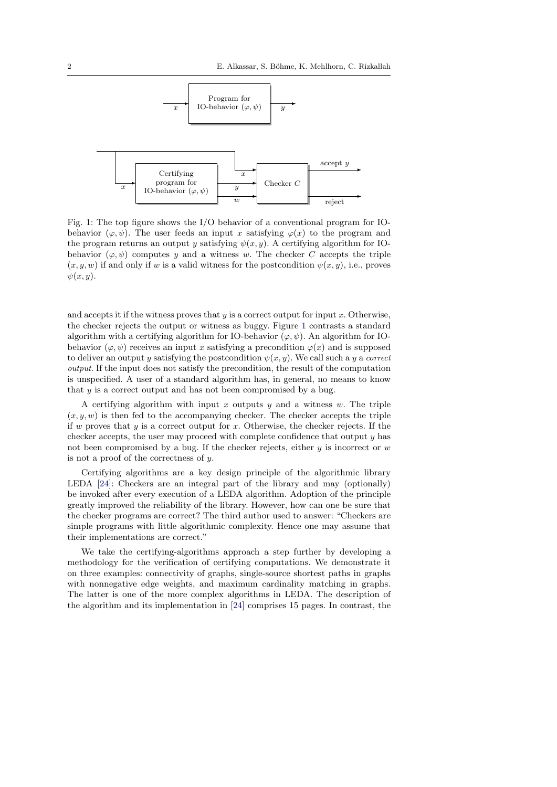<span id="page-1-0"></span>

Fig. 1: The top figure shows the I/O behavior of a conventional program for IObehavior  $(\varphi, \psi)$ . The user feeds an input x satisfying  $\varphi(x)$  to the program and the program returns an output y satisfying  $\psi(x, y)$ . A certifying algorithm for IObehavior  $(\varphi, \psi)$  computes y and a witness w. The checker C accepts the triple  $(x, y, w)$  if and only if w is a valid witness for the postcondition  $\psi(x, y)$ , i.e., proves  $\psi(x,y)$ .

and accepts it if the witness proves that  $y$  is a correct output for input  $x$ . Otherwise, the checker rejects the output or witness as buggy. Figure [1](#page-1-0) contrasts a standard algorithm with a certifying algorithm for IO-behavior  $(\varphi, \psi)$ . An algorithm for IObehavior  $(\varphi, \psi)$  receives an input x satisfying a precondition  $\varphi(x)$  and is supposed to deliver an output y satisfying the postcondition  $\psi(x, y)$ . We call such a y a correct output. If the input does not satisfy the precondition, the result of the computation is unspecified. A user of a standard algorithm has, in general, no means to know that y is a correct output and has not been compromised by a bug.

A certifying algorithm with input x outputs y and a witness  $w$ . The triple  $(x, y, w)$  is then fed to the accompanying checker. The checker accepts the triple if w proves that y is a correct output for x. Otherwise, the checker rejects. If the checker accepts, the user may proceed with complete confidence that output  $y$  has not been compromised by a bug. If the checker rejects, either  $y$  is incorrect or  $w$ is not a proof of the correctness of  $y$ .

Certifying algorithms are a key design principle of the algorithmic library LEDA [\[24\]](#page-31-2): Checkers are an integral part of the library and may (optionally) be invoked after every execution of a LEDA algorithm. Adoption of the principle greatly improved the reliability of the library. However, how can one be sure that the checker programs are correct? The third author used to answer: "Checkers are simple programs with little algorithmic complexity. Hence one may assume that their implementations are correct."

We take the certifying-algorithms approach a step further by developing a methodology for the verification of certifying computations. We demonstrate it on three examples: connectivity of graphs, single-source shortest paths in graphs with nonnegative edge weights, and maximum cardinality matching in graphs. The latter is one of the more complex algorithms in LEDA. The description of the algorithm and its implementation in [\[24\]](#page-31-2) comprises 15 pages. In contrast, the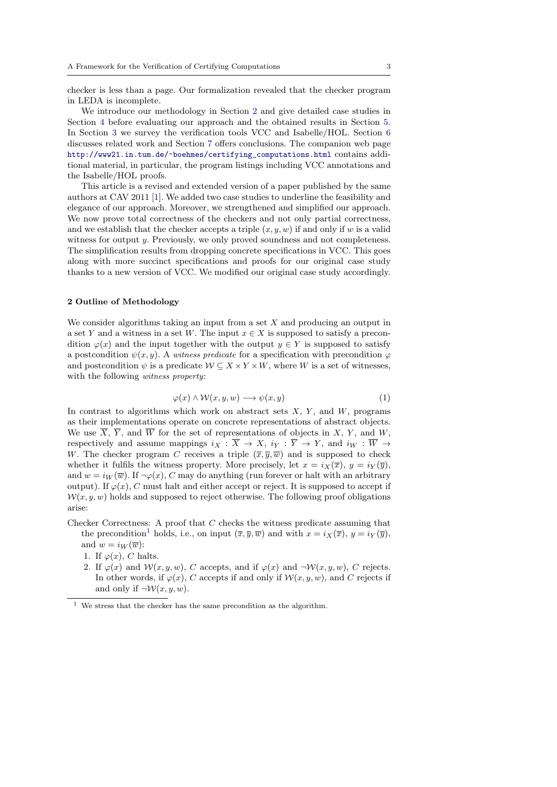checker is less than a page. Our formalization revealed that the checker program in LEDA is incomplete.

We introduce our methodology in Section [2](#page-2-0) and give detailed case studies in Section [4](#page-6-0) before evaluating our approach and the obtained results in Section [5.](#page-26-0) In Section [3](#page-5-0) we survey the verification tools VCC and Isabelle/HOL. Section [6](#page-28-0) discusses related work and Section [7](#page-29-0) offers conclusions. The companion web page [http://www21.in.tum.de/~boehmes/certifying\\_computations.html](http://www21.in.tum.de/~boehmes/certifying_computations.html) contains additional material, in particular, the program listings including VCC annotations and the Isabelle/HOL proofs.

This article is a revised and extended version of a paper published by the same authors at CAV 2011 [\[1\]](#page-30-1). We added two case studies to underline the feasibility and elegance of our approach. Moreover, we strengthened and simplified our approach. We now prove total correctness of the checkers and not only partial correctness, and we establish that the checker accepts a triple  $(x, y, w)$  if and only if w is a valid witness for output y. Previously, we only proved soundness and not completeness. The simplification results from dropping concrete specifications in VCC. This goes along with more succinct specifications and proofs for our original case study thanks to a new version of VCC. We modified our original case study accordingly.

# <span id="page-2-0"></span>2 Outline of Methodology

We consider algorithms taking an input from a set  $X$  and producing an output in a set Y and a witness in a set W. The input  $x \in X$  is supposed to satisfy a precondition  $\varphi(x)$  and the input together with the output  $y \in Y$  is supposed to satisfy a postcondition  $\psi(x, y)$ . A witness predicate for a specification with precondition  $\varphi$ and postcondition  $\psi$  is a predicate  $W \subseteq X \times Y \times W$ , where W is a set of witnesses, with the following witness property:

<span id="page-2-2"></span>
$$
\varphi(x) \land \mathcal{W}(x, y, w) \longrightarrow \psi(x, y) \tag{1}
$$

In contrast to algorithms which work on abstract sets  $X, Y$ , and  $W$ , programs as their implementations operate on concrete representations of abstract objects. We use  $\overline{X}$ ,  $\overline{Y}$ , and  $\overline{W}$  for the set of representations of objects in X, Y, and W, respectively and assume mappings  $i_X : \overline{X} \to X$ ,  $i_Y : \overline{Y} \to Y$ , and  $i_W : \overline{W} \to Y$ W. The checker program C receives a triple  $(\overline{x}, \overline{y}, \overline{w})$  and is supposed to check whether it fulfils the witness property. More precisely, let  $x = i_X(\overline{x})$ ,  $y = i_Y(\overline{y})$ , and  $w = i_W(\overline{w})$ . If  $\neg \varphi(x)$ , C may do anything (run forever or halt with an arbitrary output). If  $\varphi(x)$ , C must halt and either accept or reject. It is supposed to accept if  $W(x, y, w)$  holds and supposed to reject otherwise. The following proof obligations arise:

- Checker Correctness: A proof that C checks the witness predicate assuming that the precondition<sup>[1](#page-2-1)</sup> holds, i.e., on input  $(\overline{x}, \overline{y}, \overline{w})$  and with  $x = i_X(\overline{x}), y = i_Y(\overline{y}),$ and  $w = i_W(\overline{w})$ :
	- 1. If  $\varphi(x)$ , C halts.
	- 2. If  $\varphi(x)$  and  $\mathcal{W}(x, y, w)$ , C accepts, and if  $\varphi(x)$  and  $\neg \mathcal{W}(x, y, w)$ , C rejects. In other words, if  $\varphi(x)$ , C accepts if and only if  $\mathcal{W}(x, y, w)$ , and C rejects if and only if  $\neg \mathcal{W}(x, y, w)$ .

<span id="page-2-1"></span> $^{\rm 1}$  We stress that the checker has the same precondition as the algorithm.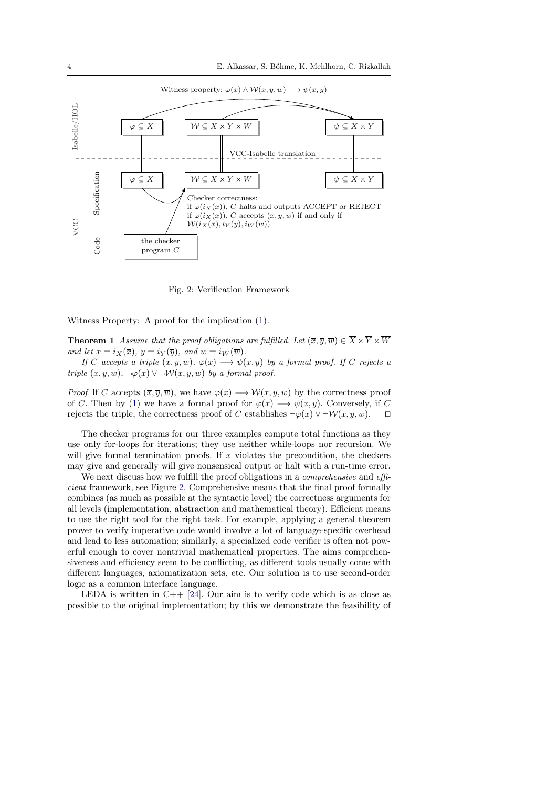<span id="page-3-0"></span>

Fig. 2: Verification Framework

Witness Property: A proof for the implication [\(1\)](#page-2-2).

**Theorem 1** Assume that the proof obligations are fulfilled. Let  $(\overline{x}, \overline{y}, \overline{w}) \in \overline{X} \times \overline{Y} \times \overline{W}$ and let  $x = i_X(\overline{x}), y = i_Y(\overline{y}),$  and  $w = i_W(\overline{w}).$ 

If C accepts a triple  $(\overline{x}, \overline{y}, \overline{w})$ ,  $\varphi(x) \longrightarrow \psi(x, y)$  by a formal proof. If C rejects a triple  $(\overline{x}, \overline{y}, \overline{w})$ ,  $\neg \varphi(x) \vee \neg \mathcal{W}(x, y, w)$  by a formal proof.

*Proof* If C accepts  $(\overline{x}, \overline{y}, \overline{w})$ , we have  $\varphi(x) \longrightarrow \mathcal{W}(x, y, w)$  by the correctness proof of C. Then by [\(1\)](#page-2-2) we have a formal proof for  $\varphi(x) \longrightarrow \psi(x, y)$ . Conversely, if C rejects the triple, the correctness proof of C establishes  $\neg \varphi(x) \vee \neg \mathcal{W}(x, y, w)$ .

The checker programs for our three examples compute total functions as they use only for-loops for iterations; they use neither while-loops nor recursion. We will give formal termination proofs. If  $x$  violates the precondition, the checkers may give and generally will give nonsensical output or halt with a run-time error.

We next discuss how we fulfill the proof obligations in a *comprehensive* and *effi*cient framework, see Figure [2.](#page-3-0) Comprehensive means that the final proof formally combines (as much as possible at the syntactic level) the correctness arguments for all levels (implementation, abstraction and mathematical theory). Efficient means to use the right tool for the right task. For example, applying a general theorem prover to verify imperative code would involve a lot of language-specific overhead and lead to less automation; similarly, a specialized code verifier is often not powerful enough to cover nontrivial mathematical properties. The aims comprehensiveness and efficiency seem to be conflicting, as different tools usually come with different languages, axiomatization sets, etc. Our solution is to use second-order logic as a common interface language.

LEDA is written in  $C_{++}$  [\[24\]](#page-31-2). Our aim is to verify code which is as close as possible to the original implementation; by this we demonstrate the feasibility of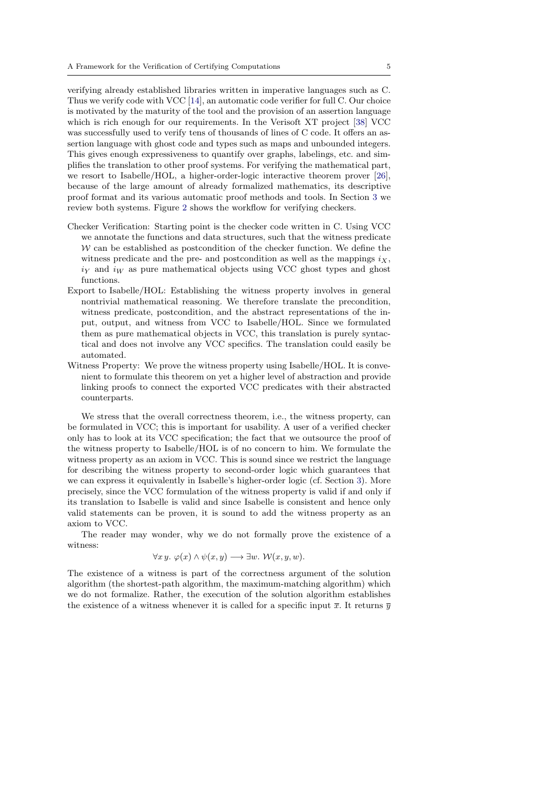verifying already established libraries written in imperative languages such as C. Thus we verify code with VCC [\[14\]](#page-31-3), an automatic code verifier for full C. Our choice is motivated by the maturity of the tool and the provision of an assertion language which is rich enough for our requirements. In the Verisoft XT project [\[38\]](#page-31-4) VCC was successfully used to verify tens of thousands of lines of C code. It offers an assertion language with ghost code and types such as maps and unbounded integers. This gives enough expressiveness to quantify over graphs, labelings, etc. and simplifies the translation to other proof systems. For verifying the mathematical part, we resort to Isabelle/HOL, a higher-order-logic interactive theorem prover [\[26\]](#page-31-5), because of the large amount of already formalized mathematics, its descriptive proof format and its various automatic proof methods and tools. In Section [3](#page-5-0) we review both systems. Figure [2](#page-3-0) shows the workflow for verifying checkers.

- Checker Verification: Starting point is the checker code written in C. Using VCC we annotate the functions and data structures, such that the witness predicate  $W$  can be established as postcondition of the checker function. We define the witness predicate and the pre- and postcondition as well as the mappings  $i_X$ ,  $i<sub>Y</sub>$  and  $i<sub>W</sub>$  as pure mathematical objects using VCC ghost types and ghost functions.
- Export to Isabelle/HOL: Establishing the witness property involves in general nontrivial mathematical reasoning. We therefore translate the precondition, witness predicate, postcondition, and the abstract representations of the input, output, and witness from VCC to Isabelle/HOL. Since we formulated them as pure mathematical objects in VCC, this translation is purely syntactical and does not involve any VCC specifics. The translation could easily be automated.
- Witness Property: We prove the witness property using Isabelle/HOL. It is convenient to formulate this theorem on yet a higher level of abstraction and provide linking proofs to connect the exported VCC predicates with their abstracted counterparts.

We stress that the overall correctness theorem, i.e., the witness property, can be formulated in VCC; this is important for usability. A user of a verified checker only has to look at its VCC specification; the fact that we outsource the proof of the witness property to Isabelle/HOL is of no concern to him. We formulate the witness property as an axiom in VCC. This is sound since we restrict the language for describing the witness property to second-order logic which guarantees that we can express it equivalently in Isabelle's higher-order logic (cf. Section [3\)](#page-5-0). More precisely, since the VCC formulation of the witness property is valid if and only if its translation to Isabelle is valid and since Isabelle is consistent and hence only valid statements can be proven, it is sound to add the witness property as an axiom to VCC.

The reader may wonder, why we do not formally prove the existence of a witness:

$$
\forall x y. \ \varphi(x) \land \psi(x, y) \longrightarrow \exists w. \ \mathcal{W}(x, y, w).
$$

The existence of a witness is part of the correctness argument of the solution algorithm (the shortest-path algorithm, the maximum-matching algorithm) which we do not formalize. Rather, the execution of the solution algorithm establishes the existence of a witness whenever it is called for a specific input  $\bar{x}$ . It returns  $\bar{y}$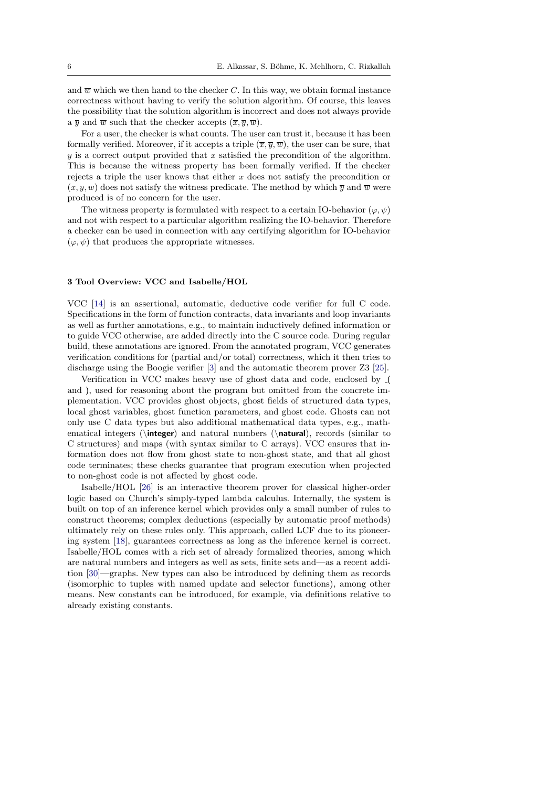and  $\overline{w}$  which we then hand to the checker C. In this way, we obtain formal instance correctness without having to verify the solution algorithm. Of course, this leaves the possibility that the solution algorithm is incorrect and does not always provide a  $\overline{y}$  and  $\overline{w}$  such that the checker accepts  $(\overline{x}, \overline{y}, \overline{w})$ .

For a user, the checker is what counts. The user can trust it, because it has been formally verified. Moreover, if it accepts a triple  $(\overline{x}, \overline{y}, \overline{w})$ , the user can be sure, that  $y$  is a correct output provided that  $x$  satisfied the precondition of the algorithm. This is because the witness property has been formally verified. If the checker rejects a triple the user knows that either  $x$  does not satisfy the precondition or  $(x, y, w)$  does not satisfy the witness predicate. The method by which  $\overline{y}$  and  $\overline{w}$  were produced is of no concern for the user.

The witness property is formulated with respect to a certain IO-behavior  $(\varphi, \psi)$ and not with respect to a particular algorithm realizing the IO-behavior. Therefore a checker can be used in connection with any certifying algorithm for IO-behavior  $(\varphi, \psi)$  that produces the appropriate witnesses.

# <span id="page-5-0"></span>3 Tool Overview: VCC and Isabelle/HOL

VCC [\[14\]](#page-31-3) is an assertional, automatic, deductive code verifier for full C code. Specifications in the form of function contracts, data invariants and loop invariants as well as further annotations, e.g., to maintain inductively defined information or to guide VCC otherwise, are added directly into the C source code. During regular build, these annotations are ignored. From the annotated program, VCC generates verification conditions for (partial and/or total) correctness, which it then tries to discharge using the Boogie verifier [\[3\]](#page-30-2) and the automatic theorem prover Z3 [\[25\]](#page-31-6).

Verification in VCC makes heavy use of ghost data and code, enclosed by ( and ), used for reasoning about the program but omitted from the concrete implementation. VCC provides ghost objects, ghost fields of structured data types, local ghost variables, ghost function parameters, and ghost code. Ghosts can not only use C data types but also additional mathematical data types, e.g., mathematical integers ( $\left\{$ nteger) and natural numbers ( $\mathcal{A}$ ), records (similar to C structures) and maps (with syntax similar to C arrays). VCC ensures that information does not flow from ghost state to non-ghost state, and that all ghost code terminates; these checks guarantee that program execution when projected to non-ghost code is not affected by ghost code.

Isabelle/HOL [\[26\]](#page-31-5) is an interactive theorem prover for classical higher-order logic based on Church's simply-typed lambda calculus. Internally, the system is built on top of an inference kernel which provides only a small number of rules to construct theorems; complex deductions (especially by automatic proof methods) ultimately rely on these rules only. This approach, called LCF due to its pioneering system [\[18\]](#page-31-7), guarantees correctness as long as the inference kernel is correct. Isabelle/HOL comes with a rich set of already formalized theories, among which are natural numbers and integers as well as sets, finite sets and—as a recent addition [\[30\]](#page-31-8)—graphs. New types can also be introduced by defining them as records (isomorphic to tuples with named update and selector functions), among other means. New constants can be introduced, for example, via definitions relative to already existing constants.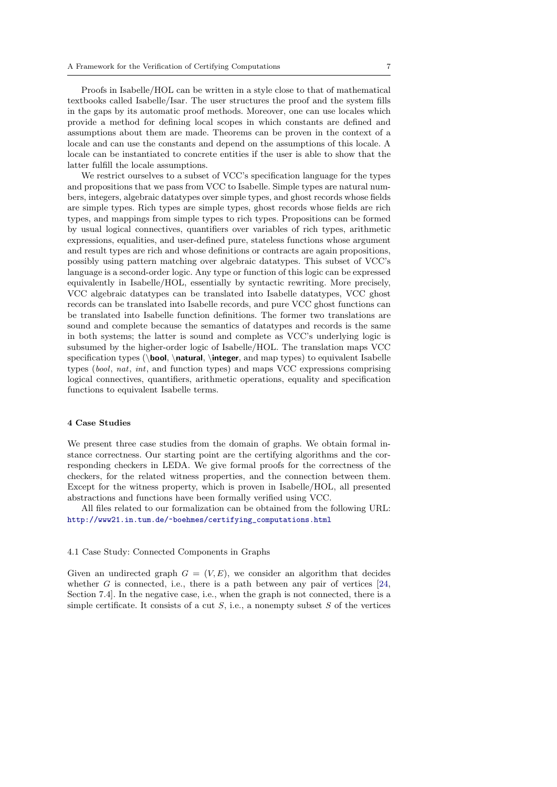Proofs in Isabelle/HOL can be written in a style close to that of mathematical textbooks called Isabelle/Isar. The user structures the proof and the system fills in the gaps by its automatic proof methods. Moreover, one can use locales which provide a method for defining local scopes in which constants are defined and assumptions about them are made. Theorems can be proven in the context of a locale and can use the constants and depend on the assumptions of this locale. A locale can be instantiated to concrete entities if the user is able to show that the latter fulfill the locale assumptions.

We restrict ourselves to a subset of VCC's specification language for the types and propositions that we pass from VCC to Isabelle. Simple types are natural numbers, integers, algebraic datatypes over simple types, and ghost records whose fields are simple types. Rich types are simple types, ghost records whose fields are rich types, and mappings from simple types to rich types. Propositions can be formed by usual logical connectives, quantifiers over variables of rich types, arithmetic expressions, equalities, and user-defined pure, stateless functions whose argument and result types are rich and whose definitions or contracts are again propositions, possibly using pattern matching over algebraic datatypes. This subset of VCC's language is a second-order logic. Any type or function of this logic can be expressed equivalently in Isabelle/HOL, essentially by syntactic rewriting. More precisely, VCC algebraic datatypes can be translated into Isabelle datatypes, VCC ghost records can be translated into Isabelle records, and pure VCC ghost functions can be translated into Isabelle function definitions. The former two translations are sound and complete because the semantics of datatypes and records is the same in both systems; the latter is sound and complete as VCC's underlying logic is subsumed by the higher-order logic of Isabelle/HOL. The translation maps VCC specification types (\bool, \natural, \integer, and map types) to equivalent Isabelle types (bool, nat, int, and function types) and maps VCC expressions comprising logical connectives, quantifiers, arithmetic operations, equality and specification functions to equivalent Isabelle terms.

# <span id="page-6-0"></span>4 Case Studies

We present three case studies from the domain of graphs. We obtain formal instance correctness. Our starting point are the certifying algorithms and the corresponding checkers in LEDA. We give formal proofs for the correctness of the checkers, for the related witness properties, and the connection between them. Except for the witness property, which is proven in Isabelle/HOL, all presented abstractions and functions have been formally verified using VCC.

All files related to our formalization can be obtained from the following URL: [http://www21.in.tum.de/~boehmes/certifying\\_computations.html](http://www21.in.tum.de/~boehmes/certifying_computations.html)

### 4.1 Case Study: Connected Components in Graphs

Given an undirected graph  $G = (V, E)$ , we consider an algorithm that decides whether G is connected, i.e., there is a path between any pair of vertices  $[24,$ Section 7.4]. In the negative case, i.e., when the graph is not connected, there is a simple certificate. It consists of a cut  $S$ , i.e., a nonempty subset  $S$  of the vertices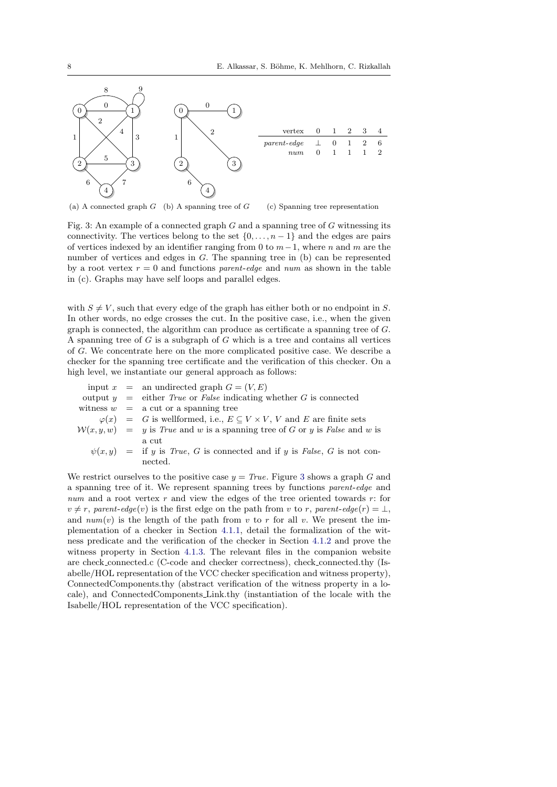<span id="page-7-0"></span>

(a) A connected graph  $G$  (b) A spanning tree of  $G$ (c) Spanning tree representation

Fig. 3: An example of a connected graph  $G$  and a spanning tree of  $G$  witnessing its connectivity. The vertices belong to the set  $\{0, \ldots, n-1\}$  and the edges are pairs of vertices indexed by an identifier ranging from 0 to  $m-1$ , where n and m are the number of vertices and edges in G. The spanning tree in (b) can be represented by a root vertex  $r = 0$  and functions parent-edge and num as shown in the table in (c). Graphs may have self loops and parallel edges.

with  $S \neq V$ , such that every edge of the graph has either both or no endpoint in S. In other words, no edge crosses the cut. In the positive case, i.e., when the given graph is connected, the algorithm can produce as certificate a spanning tree of G. A spanning tree of G is a subgraph of G which is a tree and contains all vertices of G. We concentrate here on the more complicated positive case. We describe a checker for the spanning tree certificate and the verification of this checker. On a high level, we instantiate our general approach as follows:

|  | input $x =$ an undirected graph $G = (V, E)$                                             |
|--|------------------------------------------------------------------------------------------|
|  | output $y =$ either <i>True</i> or <i>False</i> indicating whether G is connected        |
|  | witness $w = a$ cut or a spanning tree                                                   |
|  | $\varphi(x) = G$ is wellformed, i.e., $E \subseteq V \times V$ , V and E are finite sets |
|  | $W(x, y, w) = y$ is True and w is a spanning tree of G or y is False and w is            |
|  | a cut                                                                                    |
|  | $\psi(x,y)$ = if y is True, G is connected and if y is False, G is not con-              |
|  | nected.                                                                                  |

We restrict ourselves to the positive case  $y = True$ . Figure [3](#page-7-0) shows a graph G and a spanning tree of it. We represent spanning trees by functions parent-edge and num and a root vertex  $r$  and view the edges of the tree oriented towards  $r$ : for  $v \neq r$ , parent-edge(v) is the first edge on the path from v to r, parent-edge(r) =  $\perp$ , and  $num(v)$  is the length of the path from v to r for all v. We present the implementation of a checker in Section [4.1.1,](#page-8-0) detail the formalization of the witness predicate and the verification of the checker in Section [4.1.2](#page-8-1) and prove the witness property in Section [4.1.3.](#page-11-0) The relevant files in the companion website are check connected.c (C-code and checker correctness), check connected.thy (Isabelle/HOL representation of the VCC checker specification and witness property), ConnectedComponents.thy (abstract verification of the witness property in a locale), and ConnectedComponents Link.thy (instantiation of the locale with the Isabelle/HOL representation of the VCC specification).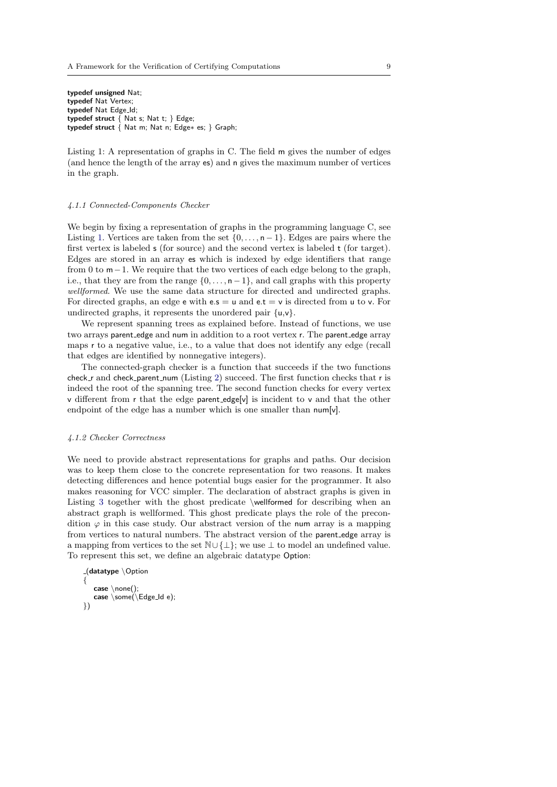<span id="page-8-2"></span>typedef unsigned Nat; typedef Nat Vertex; typedef Nat Edge\_Id: typedef struct  $\{$  Nat s; Nat t;  $\}$  Edge; typedef struct  $\hat{\zeta}$  Nat m; Nat n; Edge\* es; } Graph;

Listing 1: A representation of graphs in C. The field m gives the number of edges (and hence the length of the array es) and n gives the maximum number of vertices in the graph.

#### <span id="page-8-0"></span>4.1.1 Connected-Components Checker

We begin by fixing a representation of graphs in the programming language C, see Listing [1.](#page-8-2) Vertices are taken from the set  $\{0, \ldots, n-1\}$ . Edges are pairs where the first vertex is labeled s (for source) and the second vertex is labeled t (for target). Edges are stored in an array es which is indexed by edge identifiers that range from 0 to m−1. We require that the two vertices of each edge belong to the graph, i.e., that they are from the range  $\{0, \ldots, n-1\}$ , and call graphs with this property wellformed. We use the same data structure for directed and undirected graphs. For directed graphs, an edge e with  $e.s = u$  and  $e.t = v$  is directed from u to v. For undirected graphs, it represents the unordered pair {u,v}.

We represent spanning trees as explained before. Instead of functions, we use two arrays parent edge and num in addition to a root vertex r. The parent edge array maps r to a negative value, i.e., to a value that does not identify any edge (recall that edges are identified by nonnegative integers).

The connected-graph checker is a function that succeeds if the two functions check  $r$  and check parent num (Listing [2\)](#page-9-0) succeed. The first function checks that  $r$  is indeed the root of the spanning tree. The second function checks for every vertex v different from r that the edge parent edge[v] is incident to v and that the other endpoint of the edge has a number which is one smaller than num[v].

#### <span id="page-8-1"></span>4.1.2 Checker Correctness

We need to provide abstract representations for graphs and paths. Our decision was to keep them close to the concrete representation for two reasons. It makes detecting differences and hence potential bugs easier for the programmer. It also makes reasoning for VCC simpler. The declaration of abstract graphs is given in Listing [3](#page-9-1) together with the ghost predicate \wellformed for describing when an abstract graph is wellformed. This ghost predicate plays the role of the precondition  $\varphi$  in this case study. Our abstract version of the num array is a mapping from vertices to natural numbers. The abstract version of the parent edge array is a mapping from vertices to the set N∪ {⊥}; we use ⊥ to model an undefined value. To represent this set, we define an algebraic datatype Option:

```
-(dot <){
  case \none();
  case \some(\Edge_Id e);
})
```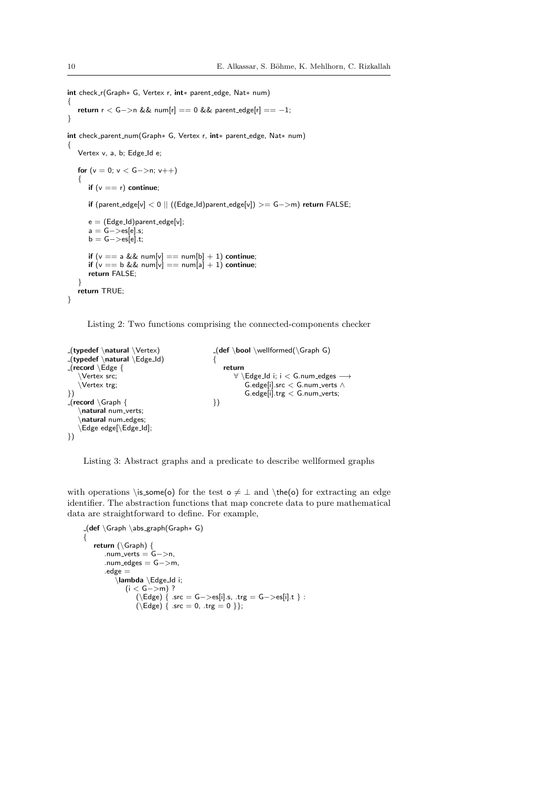```
int check r(Graph∗ G, Vertex r, int∗ parent edge, Nat∗ num)
{
   return r < G->n && num[r] == 0 && parent_edge[r] == -1;
}
int check parent num(Graph∗ G, Vertex r, int∗ parent edge, Nat∗ num)
{
   Vertex v, a, b; Edge_Id e;
   for (v = 0; v < G->n; v++){
      if (v == r) continue;
      if (parent edge[v] < 0 || ((Edge Id)parent edge[v]) >= G−>m) return FALSE;
      e = (Edge\_Id)parent_edge[v];
      a = G−>es[e].s;
      \mathsf{b} = \mathsf{G} ->es[e].t;
      if (v == a \& \& num[v] == num[b] + 1) continue;
      if (v == b \& \& num[v] == num[a] + 1) continue;
      return FALSE;
   }
   return TRUE;
}
```
Listing 2: Two functions comprising the connected-components checker

```
(typedef \natural \Vertex)
_{\text{typedef}} \natural \Edge_Id)
_{\text{-}}(record \Edge {
    \Vertex src;
    \Vertex trg;
})
\sqrt{\frac{1}{2}}(record \Graph {
    \natural num_verts;
     \natural num edges;
    \Edge edge[\Edge Id];
})
                                                     \left( \det \setminus \text{bool } \text{normal}(\Gamma G) \right){
                                                        return
                                                            ∀ \Edge Id i; i < G.num edges −→
                                                                G.edge[i].src < G.num_verts \wedgeG.edge[i].trg < G.num_verts;
                                                    })
```
Listing 3: Abstract graphs and a predicate to describe wellformed graphs

with operations \is\_some(o) for the test  $\circ \neq \bot$  and \the(o) for extracting an edge identifier. The abstraction functions that map concrete data to pure mathematical data are straightforward to define. For example,

```
(def \Graph \abs graph(Graph∗ G)
{
   return (\Graph) {
      .num_verts = G->n,
      .num_edges = G->m,
       .edge =\lambda \Edge Id i;
              (i < G->m) ?
                  (\backslash \mathsf{Edge}) { .src = G−>es[i].s, .trg = G−>es[i].t } :
                  (\text{Edge}) \{ \text{ .src} = 0, \text{ .trg} = 0 \};
```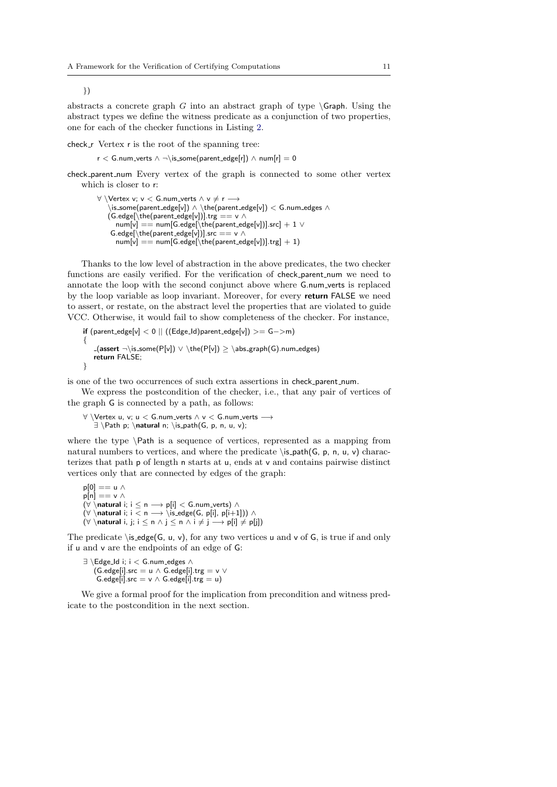})

abstracts a concrete graph  $G$  into an abstract graph of type  $\Gamma$ . Using the abstract types we define the witness predicate as a conjunction of two properties, one for each of the checker functions in Listing [2.](#page-9-0)

check  $r$  Vertex r is the root of the spanning tree:

 $r < G$ .num\_verts ∧ ¬\is\_some(parent\_edge[r]) ∧ num[r] = 0

check parent num Every vertex of the graph is connected to some other vertex which is closer to r:

```
\forall \Vertex v; v < G.num_verts \land v \neq r \longrightarrow\backslash is some(parent edge[v]) \land \backslash the(parent edge[v]) < G num edges \land(G.\text{edge}[\backslash \text{the}(\text{parent\_edge}[\nu])].\text{trg} == \nu ~\wedgenum[v] == num[G.edge[\text{the}(parent\_edge[v])].src] + 1 \veeG.edge[\the(parent_edge[v])].src == v \wedgenum[v] == num[G.edge[\text{the}(\text{parent\_edge}[v])].trg] + 1)
```
Thanks to the low level of abstraction in the above predicates, the two checker functions are easily verified. For the verification of check parent num we need to annotate the loop with the second conjunct above where G.num verts is replaced by the loop variable as loop invariant. Moreover, for every return FALSE we need to assert, or restate, on the abstract level the properties that are violated to guide VCC. Otherwise, it would fail to show completeness of the checker. For instance,

if  $(\text{parent\_edge}[v] < 0 \mid | ((\text{Edge\_Id})\text{parent\_edge}[v]) >= G->m)$ {  $(\text{assert} \neg \is_{some}(P[v]) \lor \the(P[v]) \ge \abs_{graph}(G) \cdot \text{square}$ return FALSE; }

is one of the two occurrences of such extra assertions in check parent num.

We express the postcondition of the checker, i.e., that any pair of vertices of the graph G is connected by a path, as follows:

∀ \Vertex u, v; u < G.num verts ∧ v < G.num verts −→  $\exists \Phi p; \natural n; \is path(G, p, n, u, v);$ 

where the type \Path is a sequence of vertices, represented as a mapping from natural numbers to vertices, and where the predicate  $\is$ -path(G, p, n, u, v) characterizes that path p of length n starts at u, ends at v and contains pairwise distinct vertices only that are connected by edges of the graph:

p[0] == u ∧  $p[n] == v \wedge$  $(\forall \setminus$ natural i; i  $\leq n \longrightarrow p[i] < G.num\_verts)$   $\wedge$  $(\forall \setminus \mathsf{natural} \, \mathsf{i}; \, \mathsf{i} < \mathsf{n} \longrightarrow \setminus \mathsf{is\_edge}(G, \, \mathsf{p[i]}, \, \mathsf{p[i+1]})) \land$  $(\forall \setminus \mathsf{natural} \, i, j; i \leq n \land j \leq n \land i \neq j \longrightarrow p[i] \neq p[j])$ 

The predicate  $\iota$  is edge(G, u, v), for any two vertices u and v of G, is true if and only if u and v are the endpoints of an edge of G:

```
∃ \Edge Id i; i < G.num edges ∧
    (G.\text{edge}[i].\text{src} = u \wedge G.\text{edge}[i].\text{trg} = v \veeG.edge[i].src = v \wedge G.edge[i].trg = u)
```
We give a formal proof for the implication from precondition and witness predicate to the postcondition in the next section.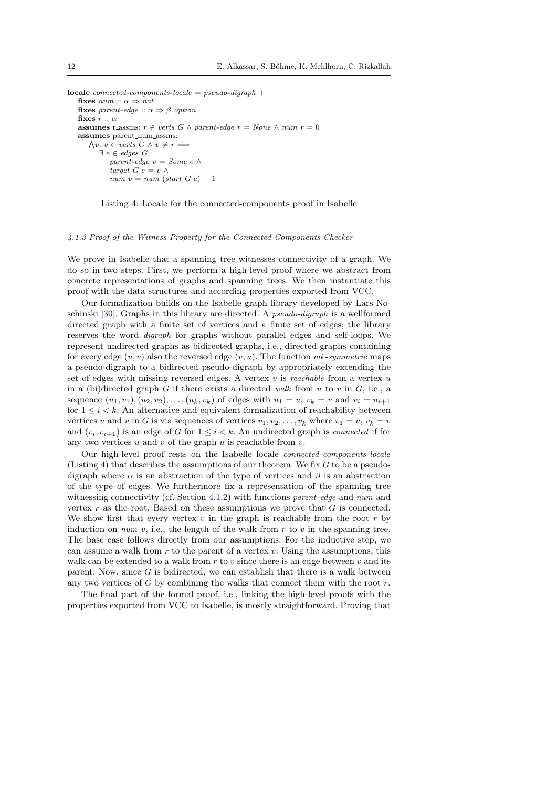```
\textbf{locale connected-components-} locale = pseudo-digraph +fixes num :: \alpha \Rightarrow natfixes parent-edge \therefore \alpha \Rightarrow \beta option
    fixes r :: \alphaassumes r_assms: r \in \text{verts } G \land \text{parent-edge } r = \text{None } \land \text{num } r = 0assumes parent_num_assms:
        \bigwedge v. v \in \text{verts } G \land v \neq r \Longrightarrow\exists e \in edges G.
                parent-edge v = Some e \wedgetarget G e = v \wedgenum v = num (start G e) + 1
```


#### <span id="page-11-0"></span>4.1.3 Proof of the Witness Property for the Connected-Components Checker

We prove in Isabelle that a spanning tree witnesses connectivity of a graph. We do so in two steps. First, we perform a high-level proof where we abstract from concrete representations of graphs and spanning trees. We then instantiate this proof with the data structures and according properties exported from VCC.

Our formalization builds on the Isabelle graph library developed by Lars Noschinski [\[30\]](#page-31-8). Graphs in this library are directed. A pseudo-digraph is a wellformed directed graph with a finite set of vertices and a finite set of edges; the library reserves the word digraph for graphs without parallel edges and self-loops. We represent undirected graphs as bidirected graphs, i.e., directed graphs containing for every edge  $(u, v)$  also the reversed edge  $(v, u)$ . The function mk-symmetric maps a pseudo-digraph to a bidirected pseudo-digraph by appropriately extending the set of edges with missing reversed edges. A vertex  $v$  is *reachable* from a vertex  $u$ in a (bi)directed graph G if there exists a directed walk from u to v in  $G$ , i.e., a sequence  $(u_1, v_1), (u_2, v_2), \ldots, (u_k, v_k)$  of edges with  $u_1 = u, v_k = v$  and  $v_i = u_{i+1}$ for  $1 \leq i \leq k$ . An alternative and equivalent formalization of reachability between vertices u and v in G is via sequences of vertices  $v_1, v_2, \ldots, v_k$  where  $v_1 = u, v_k = v$ and  $(v_i, v_{i+1})$  is an edge of G for  $1 \leq i < k$ . An undirected graph is *connected* if for any two vertices  $u$  and  $v$  of the graph  $u$  is reachable from  $v$ .

Our high-level proof rests on the Isabelle locale connected-components-locale (Listing [4\)](#page-11-1) that describes the assumptions of our theorem. We fix  $G$  to be a pseudodigraph where  $\alpha$  is an abstraction of the type of vertices and  $\beta$  is an abstraction of the type of edges. We furthermore fix a representation of the spanning tree witnessing connectivity (cf. Section [4.1.2\)](#page-8-1) with functions parent-edge and num and vertex  $r$  as the root. Based on these assumptions we prove that  $G$  is connected. We show first that every vertex  $v$  in the graph is reachable from the root  $r$  by induction on num v, i.e., the length of the walk from  $r$  to v in the spanning tree. The base case follows directly from our assumptions. For the inductive step, we can assume a walk from  $r$  to the parent of a vertex  $v$ . Using the assumptions, this walk can be extended to a walk from  $r$  to  $v$  since there is an edge between  $v$  and its parent. Now, since  $G$  is bidirected, we can establish that there is a walk between any two vertices of  $G$  by combining the walks that connect them with the root  $r$ .

The final part of the formal proof, i.e., linking the high-level proofs with the properties exported from VCC to Isabelle, is mostly straightforward. Proving that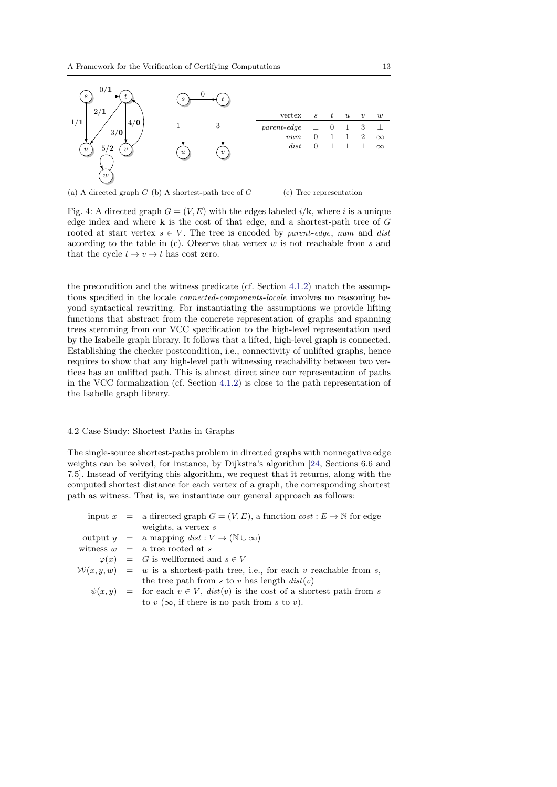<span id="page-12-0"></span>

(a) A directed graph  $G$  (b) A shortest-path tree of  $G$ 

(c) Tree representation

Fig. 4: A directed graph  $G = (V, E)$  with the edges labeled  $i/\mathbf{k}$ , where i is a unique edge index and where  $k$  is the cost of that edge, and a shortest-path tree of  $G$ rooted at start vertex  $s \in V$ . The tree is encoded by parent-edge, num and dist according to the table in (c). Observe that vertex  $w$  is not reachable from s and that the cycle  $t \to v \to t$  has cost zero.

the precondition and the witness predicate (cf. Section [4.1.2\)](#page-8-1) match the assumptions specified in the locale connected-components-locale involves no reasoning beyond syntactical rewriting. For instantiating the assumptions we provide lifting functions that abstract from the concrete representation of graphs and spanning trees stemming from our VCC specification to the high-level representation used by the Isabelle graph library. It follows that a lifted, high-level graph is connected. Establishing the checker postcondition, i.e., connectivity of unlifted graphs, hence requires to show that any high-level path witnessing reachability between two vertices has an unlifted path. This is almost direct since our representation of paths in the VCC formalization (cf. Section [4.1.2\)](#page-8-1) is close to the path representation of the Isabelle graph library.

# 4.2 Case Study: Shortest Paths in Graphs

The single-source shortest-paths problem in directed graphs with nonnegative edge weights can be solved, for instance, by Dijkstra's algorithm [\[24,](#page-31-2) Sections 6.6 and 7.5]. Instead of verifying this algorithm, we request that it returns, along with the computed shortest distance for each vertex of a graph, the corresponding shortest path as witness. That is, we instantiate our general approach as follows:

|  | input $x =$ a directed graph $G = (V, E)$ , a function $cost : E \to \mathbb{N}$ for edge |
|--|-------------------------------------------------------------------------------------------|
|  | weights, a vertex $s$                                                                     |
|  | output $y = a$ mapping $dist: V \to (\mathbb{N} \cup \infty)$                             |
|  | witness $w = a$ tree rooted at s                                                          |
|  | $\varphi(x) = G$ is wellformed and $s \in V$                                              |
|  | $W(x, y, w) = w$ is a shortest-path tree, i.e., for each v reachable from s,              |
|  | the tree path from s to v has length $dist(v)$                                            |
|  | $\psi(x, y)$ = for each $v \in V$ , $dist(v)$ is the cost of a shortest path from s       |
|  | to $v(\infty)$ , if there is no path from s to v).                                        |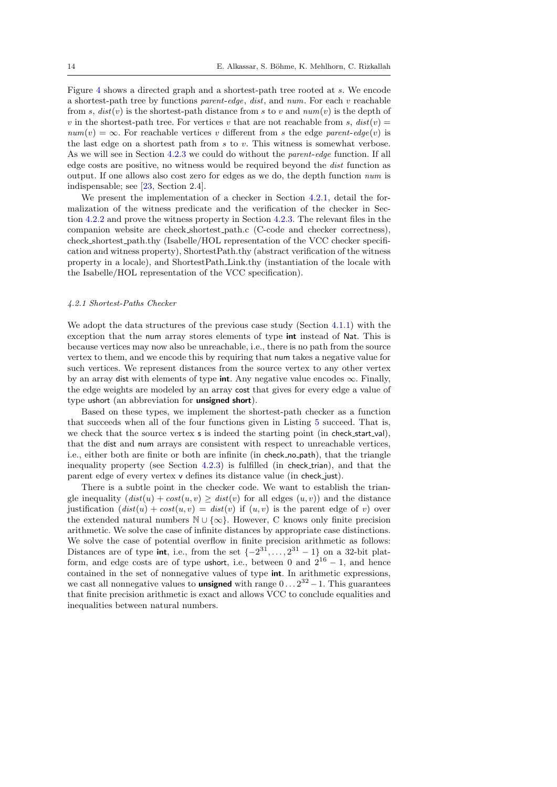Figure [4](#page-12-0) shows a directed graph and a shortest-path tree rooted at s. We encode a shortest-path tree by functions parent-edge, dist, and num. For each v reachable from s,  $dist(v)$  is the shortest-path distance from s to v and  $num(v)$  is the depth of v in the shortest-path tree. For vertices v that are not reachable from s,  $dist(v)$  =  $num(v) = \infty$ . For reachable vertices v different from s the edge parent-edge(v) is the last edge on a shortest path from s to v. This witness is somewhat verbose. As we will see in Section [4.2.3](#page-17-0) we could do without the parent-edge function. If all edge costs are positive, no witness would be required beyond the dist function as output. If one allows also cost zero for edges as we do, the depth function num is indispensable; see [\[23,](#page-31-1) Section 2.4].

We present the implementation of a checker in Section [4.2.1,](#page-13-0) detail the formalization of the witness predicate and the verification of the checker in Section [4.2.2](#page-14-0) and prove the witness property in Section [4.2.3.](#page-17-0) The relevant files in the companion website are check shortest path.c (C-code and checker correctness), check shortest path.thy (Isabelle/HOL representation of the VCC checker specification and witness property), ShortestPath.thy (abstract verification of the witness property in a locale), and ShortestPath Link.thy (instantiation of the locale with the Isabelle/HOL representation of the VCC specification).

### <span id="page-13-0"></span>4.2.1 Shortest-Paths Checker

We adopt the data structures of the previous case study (Section [4.1.1\)](#page-8-0) with the exception that the num array stores elements of type int instead of Nat. This is because vertices may now also be unreachable, i.e., there is no path from the source vertex to them, and we encode this by requiring that num takes a negative value for such vertices. We represent distances from the source vertex to any other vertex by an array dist with elements of type int. Any negative value encodes  $\infty$ . Finally, the edge weights are modeled by an array cost that gives for every edge a value of type ushort (an abbreviation for unsigned short).

Based on these types, we implement the shortest-path checker as a function that succeeds when all of the four functions given in Listing [5](#page-15-0) succeed. That is, we check that the source vertex s is indeed the starting point (in check\_start\_val), that the dist and num arrays are consistent with respect to unreachable vertices, i.e., either both are finite or both are infinite (in check no path), that the triangle inequality property (see Section [4.2.3\)](#page-17-0) is fulfilled (in check trian), and that the parent edge of every vertex v defines its distance value (in check just).

There is a subtle point in the checker code. We want to establish the triangle inequality  $dist(u) + cost(u, v) \geq dist(v)$  for all edges  $(u, v)$  and the distance justification  $dist(u) + cost(u, v) = dist(v)$  if  $(u, v)$  is the parent edge of v) over the extended natural numbers  $\mathbb{N} \cup \{\infty\}$ . However, C knows only finite precision arithmetic. We solve the case of infinite distances by appropriate case distinctions. We solve the case of potential overflow in finite precision arithmetic as follows: Distances are of type **int**, i.e., from the set  $\{-2^{31}, \ldots, 2^{31} - 1\}$  on a 32-bit platform, and edge costs are of type ushort, i.e., between 0 and  $2^{16} - 1$ , and hence contained in the set of nonnegative values of type int. In arithmetic expressions, we cast all nonnegative values to **unsigned** with range  $0 \dots 2^{32} - 1$ . This guarantees that finite precision arithmetic is exact and allows VCC to conclude equalities and inequalities between natural numbers.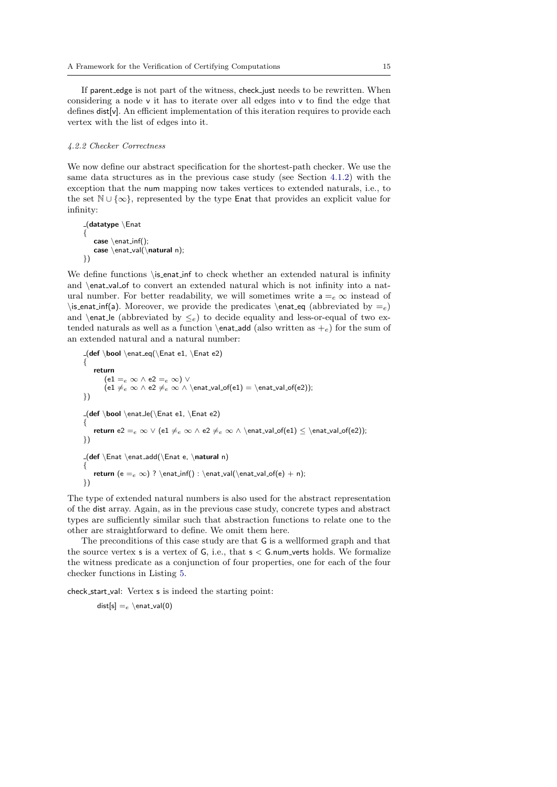If parent edge is not part of the witness, check just needs to be rewritten. When considering a node v it has to iterate over all edges into v to find the edge that defines dist[v]. An efficient implementation of this iteration requires to provide each vertex with the list of edges into it.

#### <span id="page-14-0"></span>4.2.2 Checker Correctness

We now define our abstract specification for the shortest-path checker. We use the same data structures as in the previous case study (see Section [4.1.2\)](#page-8-1) with the exception that the num mapping now takes vertices to extended naturals, i.e., to the set  $\mathbb{N} \cup \{\infty\}$ , represented by the type Enat that provides an explicit value for infinity:

```
(datatype \Enat
{
   case \text{const}.inf();
   case \enat_val(\natural n);
})
```
We define functions \is\_enat\_inf to check whether an extended natural is infinity and \enat\_val\_of to convert an extended natural which is not infinity into a natural number. For better readability, we will sometimes write  $a = e \infty$  instead of \is\_enat\_inf(a). Moreover, we provide the predicates \enat\_eq (abbreviated by  $=_e$ ) and \enat\_le (abbreviated by  $\leq_e$ ) to decide equality and less-or-equal of two extended naturals as well as a function  $\text{al}$  (also written as  $+e$ ) for the sum of an extended natural and a natural number:

```
(def \boldsymbol{\theta}){
   return
       (e1 =_e \infty ∧ e2 =_e \infty) ∨\text{(e1 } \neq e \in \wedge e2 \neq e \in \text{val_of}(\text{e1}) = \text{val_of}(\text{e2})})
\begin{array}{l} \texttt{(left} \setminus \texttt{end}, \mathsf{end} \texttt{end} \end{array}{
   return e2 =_e \infty ∨ (e1 \neq e \infty ∧ e2 \neq e ∞ ∧ \enat_val_of(e1) ≤ \enat_val_of(e2));
})
(def \Enat \enat add(\Enat e, \natural n)
{
   return (e = \infty) ? \enat_inf() : \enat_val(\enat_val_of(e) + n);
})
```
The type of extended natural numbers is also used for the abstract representation of the dist array. Again, as in the previous case study, concrete types and abstract types are sufficiently similar such that abstraction functions to relate one to the other are straightforward to define. We omit them here.

The preconditions of this case study are that G is a wellformed graph and that the source vertex  $s$  is a vertex of  $G$ , i.e., that  $s < G$ .num\_verts holds. We formalize the witness predicate as a conjunction of four properties, one for each of the four checker functions in Listing [5.](#page-15-0)

check start val: Vertex s is indeed the starting point:

 $dist[s] =_e \text{end}_val(0)$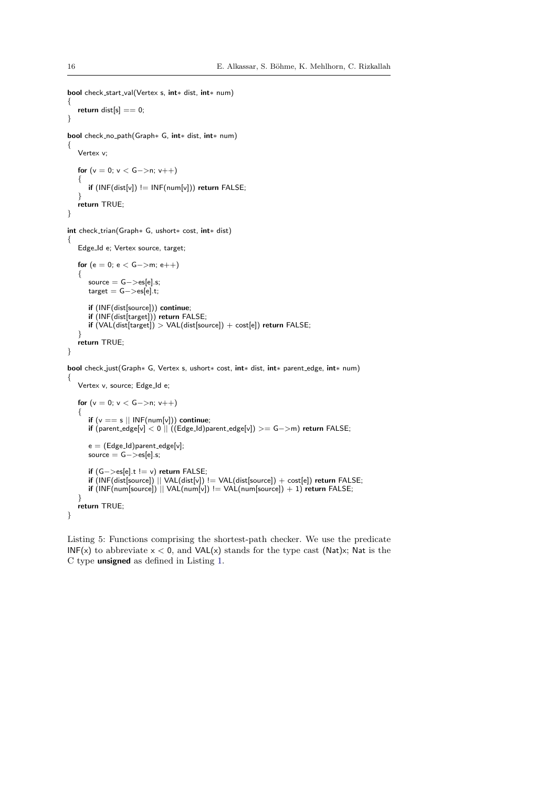```
bool check start val(Vertex s, int∗ dist, int∗ num)
{
   return dist[s] == 0;}
bool check no path(Graph∗ G, int∗ dist, int∗ num)
{
   Vertex v;
   for (v = 0; v < G->n; v++){
      if (INF(dist[v]) != INF(num[v])) return FALSE;
   }
   return TRUE;
}
int check trian(Graph∗ G, ushort∗ cost, int∗ dist)
{
   Edge Id e; Vertex source, target;
   for (e = 0; e < G->m; e++){
      source = G->es[e].s;target = G->es[e].t;if (INF(dist[source])) continue;
      if (INF(dist[target])) return FALSE;
      \text{if } (VAL(dist[target]) > VAL(dist[source]) + cost[e]) return FALSE;
   }
   return TRUE;
}
bool check just(Graph∗ G, Vertex s, ushort∗ cost, int∗ dist, int∗ parent edge, int∗ num)
{
   Vertex v, source; Edge_Id e;
   for (v = 0; v < G->n; v++){
       if (v == s \mid \mid \mathsf{INF}(\mathsf{num}[v])) continue;
       if (parent edge[v] < 0 || ((Edge Id)parent edge[v]) >= G−>m) return FALSE;
      e = (Edge\_Id)parent_edge[v];
      source = G->es[e].s;if (G−>es[e].t != v) return FALSE;
       if (INF(dist[source]) || VAL(dist[v]) != VAL(dist[source]) + cost[e]) return FALSE;
       if (INF(num[source]) || VAL(num[v]) != VAL(num[source]) + 1) return FALSE;
   }
   return TRUE;
}
```
Listing 5: Functions comprising the shortest-path checker. We use the predicate INF(x) to abbreviate  $x < 0$ , and VAL(x) stands for the type cast (Nat)x; Nat is the C type unsigned as defined in Listing [1.](#page-8-2)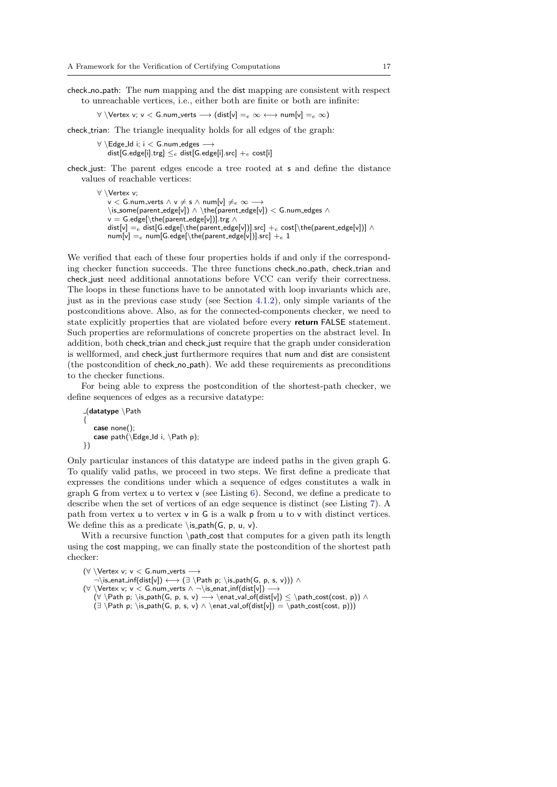check no path: The num mapping and the dist mapping are consistent with respect to unreachable vertices, i.e., either both are finite or both are infinite:

 $\forall \forall x, y \in G$ .num\_verts  $\longrightarrow$  (dist[v] =  $_e \infty \longleftrightarrow$  num[v] =  $_e \infty$ )

check trian: The triangle inequality holds for all edges of the graph:

 $\forall \ \text{Edge\_Id}$  i; i < G.num\_edges  $\longrightarrow$ dist[G.edge[i].trg]  $\leq_e$  dist[G.edge[i].src]  $+_e$  cost[i]

check just: The parent edges encode a tree rooted at s and define the distance values of reachable vertices:

∀ \Vertex v;  $\overset{\cdot}{\mathsf{v}}$   $<$  G.num\_verts  $\land$   $\mathsf{v} \neq \mathsf{s}$   $\land$  num[v]  $\neq_e \infty \longrightarrow$ \is some(parent edge[v]) ∧ \the(parent edge[v]) < G.num edges ∧ v = G.edge[\the(parent\_edge[v])].trg ∧ dist[v]  $=e$  dist[G.edge[\the(parent\_edge[v])].src]  $+e$  cost[\the(parent\_edge[v])]  $\wedge$  $\mathsf{num}[\mathsf{v}] =_e \mathsf{num}[\mathsf{G}.\mathsf{edge}[\mathsf{h}.\mathsf{edge}[\mathsf{v}]]].\mathsf{src}] +_e 1$ 

We verified that each of these four properties holds if and only if the corresponding checker function succeeds. The three functions check\_no\_path, check\_trian and check just need additional annotations before VCC can verify their correctness. The loops in these functions have to be annotated with loop invariants which are, just as in the previous case study (see Section [4.1.2\)](#page-8-1), only simple variants of the postconditions above. Also, as for the connected-components checker, we need to state explicitly properties that are violated before every return FALSE statement. Such properties are reformulations of concrete properties on the abstract level. In addition, both check trian and check just require that the graph under consideration is wellformed, and check just furthermore requires that num and dist are consistent (the postcondition of check no path). We add these requirements as preconditions to the checker functions.

For being able to express the postcondition of the shortest-path checker, we define sequences of edges as a recursive datatype:

```
_{-}(datatype \Path
{
   case none();
   case path(\Theta) Edge Id i, \Path p;
})
```
Only particular instances of this datatype are indeed paths in the given graph G. To qualify valid paths, we proceed in two steps. We first define a predicate that expresses the conditions under which a sequence of edges constitutes a walk in graph G from vertex u to vertex v (see Listing [6\)](#page-17-1). Second, we define a predicate to describe when the set of vertices of an edge sequence is distinct (see Listing [7\)](#page-17-2). A path from vertex u to vertex v in G is a walk p from u to v with distinct vertices. We define this as a predicate  $\is$ -path(G, p, u, v).

With a recursive function \path\_cost that computes for a given path its length using the cost mapping, we can finally state the postcondition of the shortest path checker:

```
(∀ \Vertex v; v < G.num_verts -
       \rightarrow \is_enat_inf(dist[v]) \longleftrightarrow (\exists \Path p; \is_path(G, p, s, v))) \land(\forall \setminus \text{Vertex } v; v < G.\text{num\_verts} \land \neg \setminus \text{is\_enat\_inf}(\text{dist}[v]) \longrightarrow(\forall \setminus \textsf{Path p}; \setminus \textsf{G, p, s, v) \longrightarrow \textsf{dist}[v]) \leq \path\_cost(cost, p)) \wedge(\exists \Phi p; \is path(G, p, s, v) \land \enat-valof(dist[v]) = \path-cost(cost, p)))
```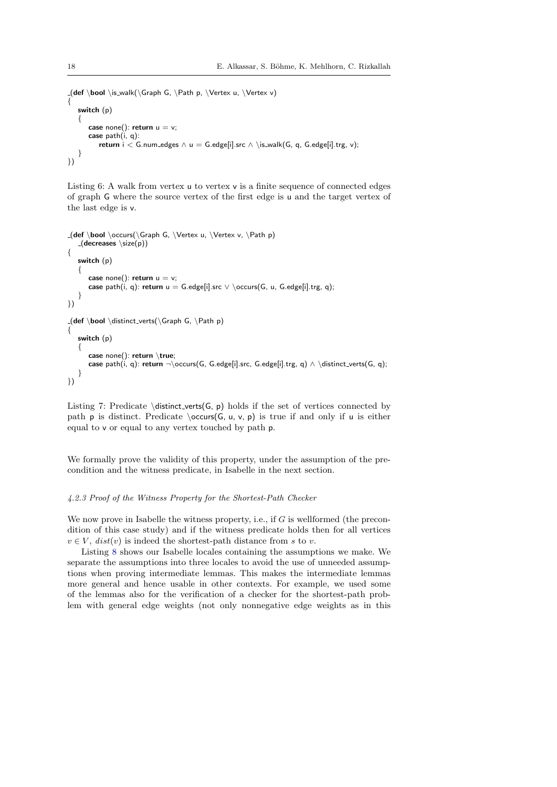```
(def \boldsymbol{\delta} \is_walk(\Gamma, \Phi p, \Vert p, \Theta u, \Vert p){
   switch (p)
   {
      case none(): return u = v;
       case path(i, q):
          return i < G.num edges \wedge u = G.edge[i].src \wedge \is-walk(G, q, G.edge[i].trg, v);
   }
})
```
Listing 6: A walk from vertex u to vertex v is a finite sequence of connected edges of graph G where the source vertex of the first edge is u and the target vertex of the last edge is v.

```
-(def \boldsymbol{\alpha})\occurs(\Gamma, \boldsymbol{\alpha}).
   (decreases \simeq (p)){
   switch (p)
   {
       case none(): return u = v;
       case path(i, q): return u = G.edge[i].src \vee \ \ocours(G, u, G.edge[i].trg, q);
   }
})
\Box(def \bool \distinct_verts(\Graph G, \Path p)
{
   switch (p)
   \left\{ \right.case none(): return \true;
       case path(i, q): return \neg\ocurs(G, G. edge[i].src, G. edge[i].trg, q) \wedge \distinct\_verts(G, q);}
})
```
Listing 7: Predicate  $distinct\_verts(G, p) holds if the set of vertices connected by$ path **p** is distinct. Predicate  $\occurs(G, u, v, p)$  is true if and only if **u** is either equal to v or equal to any vertex touched by path p.

We formally prove the validity of this property, under the assumption of the precondition and the witness predicate, in Isabelle in the next section.

### <span id="page-17-0"></span>4.2.3 Proof of the Witness Property for the Shortest-Path Checker

We now prove in Isabelle the witness property, i.e., if  $G$  is wellformed (the precondition of this case study) and if the witness predicate holds then for all vertices  $v \in V$ ,  $dist(v)$  is indeed the shortest-path distance from s to v.

Listing [8](#page-18-0) shows our Isabelle locales containing the assumptions we make. We separate the assumptions into three locales to avoid the use of unneeded assumptions when proving intermediate lemmas. This makes the intermediate lemmas more general and hence usable in other contexts. For example, we used some of the lemmas also for the verification of a checker for the shortest-path problem with general edge weights (not only nonnegative edge weights as in this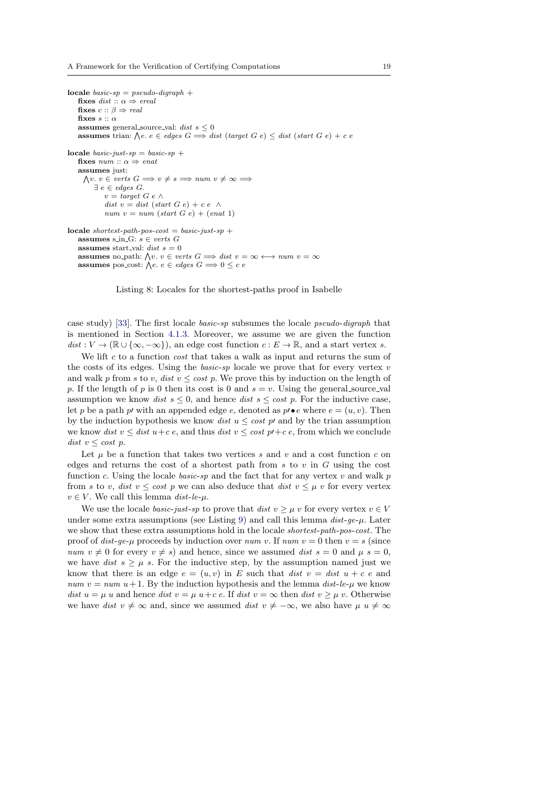```
locale basic-sp = pseudo-digraph +fixes dist :: \alpha \Rightarrow \text{ } \text{ }ereal
    fixes c :: \beta \Rightarrow realfixes s :: \alphaassumes general source val: dist s \leq 0assumes trian: \bigwedge e \cdot e \in edges \ G \Longrightarrow dist \ (target \ G \ e) \leq dist \ (start \ G \ e) + c \ elocale basic-just-sp = basic-sp +
    fixes num :: \alpha \Rightarrow enatassumes just:
       \bigwedge v. v \in \text{verts } G \Longrightarrow v \neq s \Longrightarrow \text{num } v \neq \infty \Longrightarrow\exists e \in edges G.
               v = target \ G \ e \ \wedgedist v = dist (start G e) + c e \wedgenum\ v = num\ (start\ G\ e) + (enat\ 1)locale shortest-path-pos-cost = basic-just-sp +
    assumes s in G: s \in \text{verts } Gassumes start val: dist s = 0
    assumes no path: \bigwedge v. v \in \text{verts } G \Longrightarrow \text{dist } v = \infty \longleftrightarrow \text{num } v = \inftyassumes pos_cost: \bigwedge e. e \in edges \ G \Longrightarrow 0 \leq c \ e
```
Listing 8: Locales for the shortest-paths proof in Isabelle

case study) [\[33\]](#page-31-9). The first locale basic-sp subsumes the locale pseudo-digraph that is mentioned in Section [4.1.3.](#page-11-0) Moreover, we assume we are given the function  $dist: V \to (\mathbb{R} \cup {\infty, -\infty})$ , an edge cost function  $c: E \to \mathbb{R}$ , and a start vertex s.

We lift c to a function  $cost$  that takes a walk as input and returns the sum of the costs of its edges. Using the *basic-sp* locale we prove that for every vertex  $v$ and walk p from s to v, dist  $v \leq \cos t$  p. We prove this by induction on the length of p. If the length of p is 0 then its cost is 0 and  $s = v$ . Using the general source val assumption we know *dist*  $s \leq 0$ , and hence *dist*  $s \leq cost$  *p*. For the inductive case, let p be a path p' with an appended edge e, denoted as  $p' \bullet e$  where  $e = (u, v)$ . Then by the induction hypothesis we know *dist*  $u \leq \cos t$  *p* and by the trian assumption we know dist  $v \leq dist u + c e$ , and thus dist  $v \leq cost p + c e$ , from which we conclude dist  $v \leq \cos t$  p.

Let  $\mu$  be a function that takes two vertices s and v and a cost function c on edges and returns the cost of a shortest path from  $s$  to  $v$  in  $G$  using the cost function c. Using the locale basic-sp and the fact that for any vertex  $v$  and walk  $p$ from s to v, dist  $v \leq \cos t$  p we can also deduce that dist  $v \leq \mu v$  for every vertex  $v \in V$ . We call this lemma dist-le- $\mu$ .

We use the locale *basic-just-sp* to prove that  $dist v > u v$  for every vertex  $v \in V$ under some extra assumptions (see Listing [9\)](#page-19-0) and call this lemma  $dist\text{-}ge\text{-}\mu$ . Later we show that these extra assumptions hold in the locale *shortest-path-pos-cost*. The proof of dist-qe- $\mu$  proceeds by induction over num v. If num  $v = 0$  then  $v = s$  (since num  $v \neq 0$  for every  $v \neq s$ ) and hence, since we assumed dist  $s = 0$  and  $\mu s = 0$ , we have dist  $s \geq \mu$  s. For the inductive step, by the assumption named just we know that there is an edge  $e = (u, v)$  in E such that dist  $v = dist u + c e$  and num  $v = num$  u+1. By the induction hypothesis and the lemma dist-le- $\mu$  we know dist  $u = \mu u$  and hence dist  $v = \mu u + c e$ . If dist  $v = \infty$  then dist  $v \geq \mu v$ . Otherwise we have dist  $v \neq \infty$  and, since we assumed dist  $v \neq -\infty$ , we also have  $\mu u \neq \infty$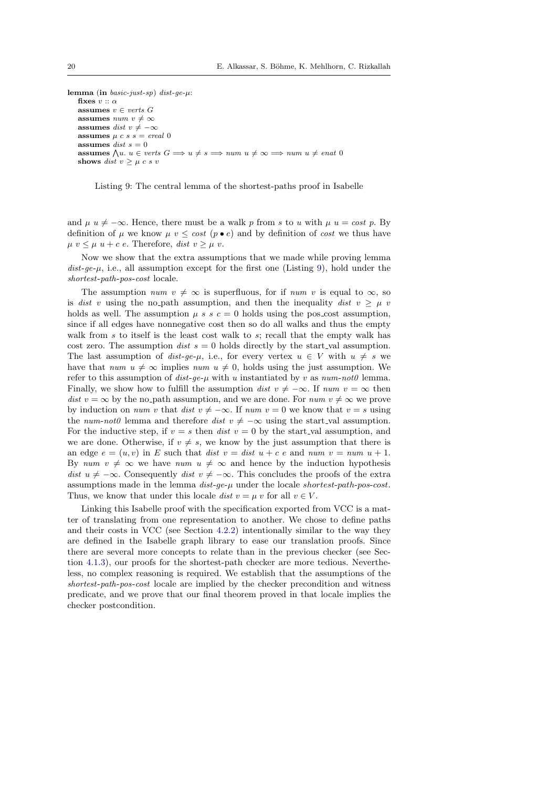<span id="page-19-0"></span>lemma (in  $basic-just-sp)$  dist-ge- $\mu$ : fixes  $v :: \alpha$ assumes  $v \in \text{verts } G$ assumes num  $v \neq \infty$ assumes dist  $v \neq -\infty$ assumes  $u \, c \, s \, s = \text{ } \text{ } \text{ } e \text{ } \text{ } e \text{ } a \text{ } 0$ assumes *dist*  $s = 0$ assumes  $\bigwedge u. u \in \text{verts } G \Longrightarrow u \neq s \Longrightarrow num \ u \neq \infty \Longrightarrow num \ u \neq \text{enat } 0$ shows dist  $v \geq \mu c s v$ 

Listing 9: The central lemma of the shortest-paths proof in Isabelle

and  $\mu u \neq -\infty$ . Hence, there must be a walk p from s to u with  $\mu u = cost p$ . By definition of  $\mu$  we know  $\mu$  v  $\leq$  cost (p  $\bullet$  e) and by definition of cost we thus have  $\mu v \leq \mu u + c e$ . Therefore, dist  $v \geq \mu v$ .

Now we show that the extra assumptions that we made while proving lemma  $dist\text{-}ge\text{-}\mu$ , i.e., all assumption except for the first one (Listing [9\)](#page-19-0), hold under the shortest-path-pos-cost locale.

The assumption *num*  $v \neq \infty$  is superfluous, for if *num v* is equal to  $\infty$ , so is dist v using the no-path assumption, and then the inequality dist  $v \geq \mu$  v holds as well. The assumption  $\mu$  s s  $c = 0$  holds using the pos-cost assumption, since if all edges have nonnegative cost then so do all walks and thus the empty walk from  $s$  to itself is the least cost walk to  $s$ ; recall that the empty walk has cost zero. The assumption *dist*  $s = 0$  holds directly by the start-val assumption. The last assumption of dist-qe- $\mu$ , i.e., for every vertex  $u \in V$  with  $u \neq s$  we have that num  $u \neq \infty$  implies num  $u \neq 0$ , holds using the just assumption. We refer to this assumption of  $dist-ae-u$  with u instantiated by v as  $num-not0$  lemma. Finally, we show how to fulfill the assumption dist  $v \neq -\infty$ . If num  $v = \infty$  then dist  $v = \infty$  by the no-path assumption, and we are done. For num  $v \neq \infty$  we prove by induction on *num v* that dist  $v \neq -\infty$ . If *num v* = 0 we know that  $v = s$  using the num-not0 lemma and therefore dist  $v \neq -\infty$  using the start\_val assumption. For the inductive step, if  $v = s$  then dist  $v = 0$  by the start val assumption, and we are done. Otherwise, if  $v \neq s$ , we know by the just assumption that there is an edge  $e = (u, v)$  in E such that dist  $v = dist u + c e$  and num  $v = num u + 1$ . By num  $v \neq \infty$  we have num  $u \neq \infty$  and hence by the induction hypothesis dist  $u \neq -\infty$ . Consequently dist  $v \neq -\infty$ . This concludes the proofs of the extra assumptions made in the lemma  $dist$ -ge- $\mu$  under the locale shortest-path-pos-cost. Thus, we know that under this locale *dist*  $v = \mu v$  for all  $v \in V$ .

Linking this Isabelle proof with the specification exported from VCC is a matter of translating from one representation to another. We chose to define paths and their costs in VCC (see Section [4.2.2\)](#page-14-0) intentionally similar to the way they are defined in the Isabelle graph library to ease our translation proofs. Since there are several more concepts to relate than in the previous checker (see Section [4.1.3\)](#page-11-0), our proofs for the shortest-path checker are more tedious. Nevertheless, no complex reasoning is required. We establish that the assumptions of the shortest-path-pos-cost locale are implied by the checker precondition and witness predicate, and we prove that our final theorem proved in that locale implies the checker postcondition.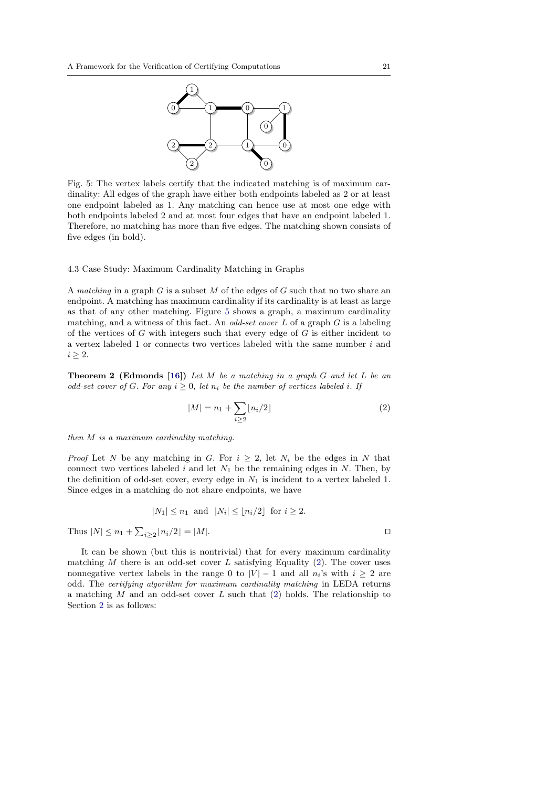<span id="page-20-0"></span>

Fig. 5: The vertex labels certify that the indicated matching is of maximum cardinality: All edges of the graph have either both endpoints labeled as 2 or at least one endpoint labeled as 1. Any matching can hence use at most one edge with both endpoints labeled 2 and at most four edges that have an endpoint labeled 1. Therefore, no matching has more than five edges. The matching shown consists of five edges (in bold).

### 4.3 Case Study: Maximum Cardinality Matching in Graphs

A matching in a graph  $G$  is a subset  $M$  of the edges of  $G$  such that no two share an endpoint. A matching has maximum cardinality if its cardinality is at least as large as that of any other matching. Figure [5](#page-20-0) shows a graph, a maximum cardinality matching, and a witness of this fact. An *odd-set cover*  $L$  of a graph  $G$  is a labeling of the vertices of G with integers such that every edge of  $G$  is either incident to a vertex labeled 1 or connects two vertices labeled with the same number i and  $i \geq 2$ .

<span id="page-20-2"></span>**Theorem 2 (Edmonds [\[16\]](#page-31-10))** Let M be a matching in a graph G and let L be an odd-set cover of G. For any  $i \geq 0$ , let  $n_i$  be the number of vertices labeled i. If

<span id="page-20-1"></span>
$$
|M| = n_1 + \sum_{i \ge 2} \lfloor n_i/2 \rfloor \tag{2}
$$

then M is a maximum cardinality matching.

*Proof* Let N be any matching in G. For  $i \geq 2$ , let  $N_i$  be the edges in N that connect two vertices labeled i and let  $N_1$  be the remaining edges in N. Then, by the definition of odd-set cover, every edge in  $N_1$  is incident to a vertex labeled 1. Since edges in a matching do not share endpoints, we have

$$
|N_1| \le n_1 \text{ and } |N_i| \le \lfloor n_i/2 \rfloor \text{ for } i \ge 2.
$$
  
Thus  $|N| \le n_1 + \sum_{i \ge 2} \lfloor n_i/2 \rfloor = |M|$ .

It can be shown (but this is nontrivial) that for every maximum cardinality matching  $M$  there is an odd-set cover  $L$  satisfying Equality [\(2\)](#page-20-1). The cover uses nonnegative vertex labels in the range 0 to  $|V| - 1$  and all  $n_i$ 's with  $i \geq 2$  are odd. The certifying algorithm for maximum cardinality matching in LEDA returns a matching  $M$  and an odd-set cover  $L$  such that [\(2\)](#page-20-1) holds. The relationship to Section [2](#page-2-0) is as follows: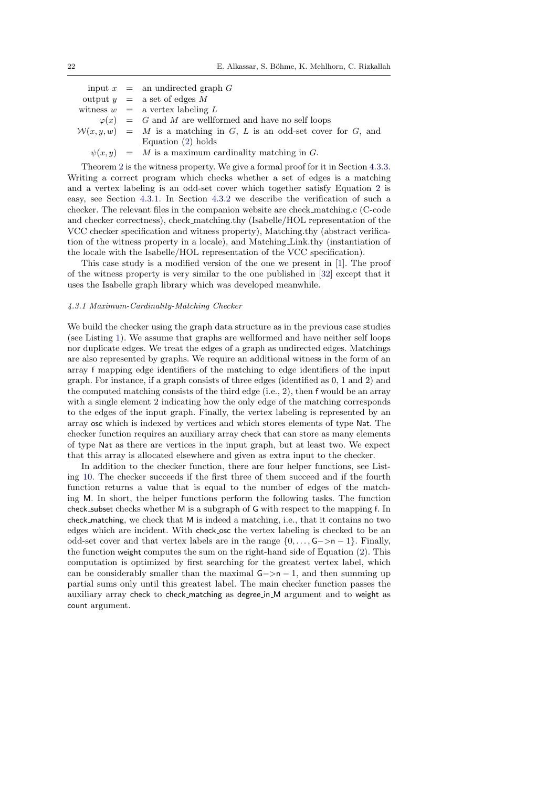input  $x =$  an undirected graph G output  $y = a$  set of edges M witness  $w = a$  vertex labeling L  $\varphi(x) = G$  and M are wellformed and have no self loops  $W(x, y, w) = M$  is a matching in G, L is an odd-set cover for G, and Equation [\(2\)](#page-20-1) holds  $\psi(x, y) = M$  is a maximum cardinality matching in G.

Theorem [2](#page-20-2) is the witness property. We give a formal proof for it in Section [4.3.3.](#page-25-0) Writing a correct program which checks whether a set of edges is a matching and a vertex labeling is an odd-set cover which together satisfy Equation [2](#page-20-1) is easy, see Section [4.3.1.](#page-21-0) In Section [4.3.2](#page-23-0) we describe the verification of such a checker. The relevant files in the companion website are check matching.c (C-code and checker correctness), check matching.thy (Isabelle/HOL representation of the VCC checker specification and witness property), Matching.thy (abstract verification of the witness property in a locale), and Matching Link.thy (instantiation of the locale with the Isabelle/HOL representation of the VCC specification).

This case study is a modified version of the one we present in [\[1\]](#page-30-1). The proof of the witness property is very similar to the one published in [\[32\]](#page-31-11) except that it uses the Isabelle graph library which was developed meanwhile.

### <span id="page-21-0"></span>4.3.1 Maximum-Cardinality-Matching Checker

We build the checker using the graph data structure as in the previous case studies (see Listing [1\)](#page-8-2). We assume that graphs are wellformed and have neither self loops nor duplicate edges. We treat the edges of a graph as undirected edges. Matchings are also represented by graphs. We require an additional witness in the form of an array f mapping edge identifiers of the matching to edge identifiers of the input graph. For instance, if a graph consists of three edges (identified as 0, 1 and 2) and the computed matching consists of the third edge (i.e., 2), then f would be an array with a single element 2 indicating how the only edge of the matching corresponds to the edges of the input graph. Finally, the vertex labeling is represented by an array osc which is indexed by vertices and which stores elements of type Nat. The checker function requires an auxiliary array check that can store as many elements of type Nat as there are vertices in the input graph, but at least two. We expect that this array is allocated elsewhere and given as extra input to the checker.

In addition to the checker function, there are four helper functions, see Listing [10.](#page-22-0) The checker succeeds if the first three of them succeed and if the fourth function returns a value that is equal to the number of edges of the matching M. In short, the helper functions perform the following tasks. The function check subset checks whether M is a subgraph of G with respect to the mapping f. In check matching, we check that M is indeed a matching, i.e., that it contains no two edges which are incident. With check osc the vertex labeling is checked to be an odd-set cover and that vertex labels are in the range  $\{0, \ldots, G->n-1\}$ . Finally, the function weight computes the sum on the right-hand side of Equation [\(2\)](#page-20-1). This computation is optimized by first searching for the greatest vertex label, which can be considerably smaller than the maximal  $G->n-1$ , and then summing up partial sums only until this greatest label. The main checker function passes the auxiliary array check to check matching as degree in M argument and to weight as count argument.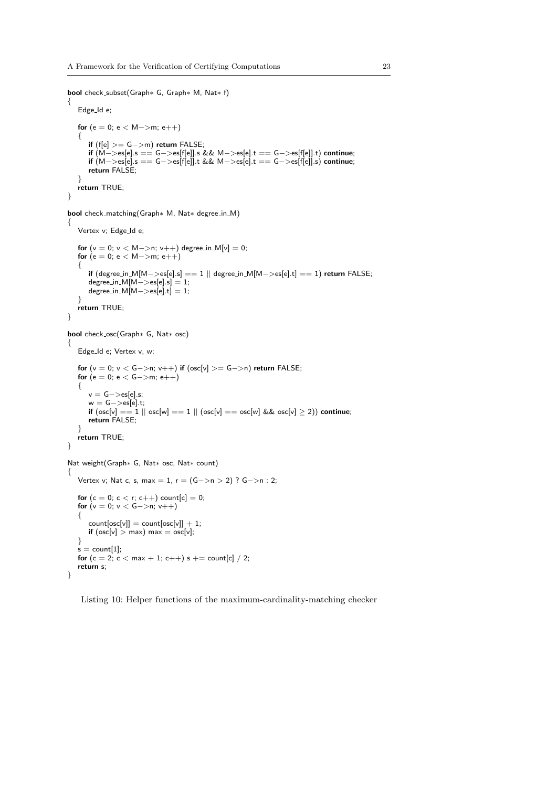<span id="page-22-0"></span>bool check subset(Graph∗ G, Graph∗ M, Nat∗ f)

```
{
   Edge Id e;
   for (e = 0; e < M->m; e++){
      if (f[e] >= G−>m) return FALSE;
      if (M−>es[e].s == G−>es[f[e]].s && M−>es[e].t == G−>es[f[e]].t) continue;
      if (M−>es[e].s == G−>es[f[e]].t && M−>es[e].t == G−>es[f[e]].s) continue;
      return FALSE;
   }
   return TRUE;
}
bool check matching(Graph∗ M, Nat∗ degree in M)
{
   Vertex v; Edge_Id e;
   for (v = 0; v < M->n; v++) degree_in_M[v] = 0;
   for (e = 0; e < M->m; e++)\left\{ \right.if (degree in M[M−>es[e].s] == 1 || degree in M[M−>es[e].t] == 1) return FALSE;
      degree_in.M[M->es[e], s] = 1;degree_in_M[M->es[e].t] = 1;}
   return TRUE;
}
bool check osc(Graph∗ G, Nat∗ osc)
{
   Edge_Id e; Vertex v, w;
   for (v = 0; v < G->n; v++) if (osc[v] >= G->n) return FALSE;
   for (e = 0; e < G->m; e++)\left\{ \right.v = G−>es[e].s;
      w = G−>es[e].t;
      if (osc[v] == 1 \mid | \; osc[w] == 1 \mid | \; (osc[v] == osc[w] \& \& osc[v] \ge 2)) continue;
      return FALSE;
   }
   return TRUE;
}
Nat weight(Graph∗ G, Nat∗ osc, Nat∗ count)
{
   Vertex v; Nat c, s, max = 1, r = (G - > n > 2) ? G - > n : 2;
   for (c = 0; c < r; c++) count[c] = 0;for (v = 0; v < G->n; v++){
      count[osc[v]] = count[osc[v]] + 1;if (osc[v] > max) max = osc[v];
   }
   s = count[1];for (c = 2; c < max + 1; c++) s += count[c] / 2;return s;
}
```
Listing 10: Helper functions of the maximum-cardinality-matching checker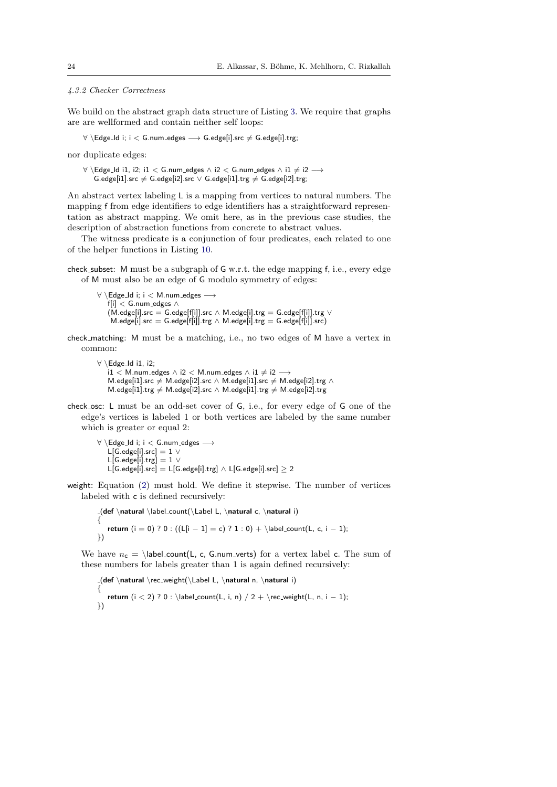### <span id="page-23-0"></span>4.3.2 Checker Correctness

We build on the abstract graph data structure of Listing [3.](#page-9-1) We require that graphs are are wellformed and contain neither self loops:

 $∀ \ \E{dgeld}$  i;  $i < G .$ num\_edges  $→ G .$ edge[i].src  $≠ G .$ edge[i].trg;

nor duplicate edges:

∀ \Edge\_Id i1, i2; i1 < G.num\_edges  $\land$  i2 < G.num\_edges  $\land$  i1  $\neq$  i2  $\longrightarrow$  $G.$ edge[i1].src  $\neq G.$ edge[i2].src  $\vee G.$ edge[i1].trg  $\neq G.$ edge[i2].trg;

An abstract vertex labeling L is a mapping from vertices to natural numbers. The mapping f from edge identifiers to edge identifiers has a straightforward representation as abstract mapping. We omit here, as in the previous case studies, the description of abstraction functions from concrete to abstract values.

The witness predicate is a conjunction of four predicates, each related to one of the helper functions in Listing [10.](#page-22-0)

check subset: M must be a subgraph of G w.r.t. the edge mapping f, i.e., every edge of M must also be an edge of G modulo symmetry of edges:

∀ \Edge Id i; i < M.num edges −→ f[i] < G.num edges ∧  $(M.$ edge[i].src = G.edge[f[i]].src ∧ M.edge[i].trg = G.edge[f[i]].trg  $\vee$ M.edge[i].src = G.edge[f[i]].trg  $\wedge$  M.edge[i].trg = G.edge[f[i]].src)

check matching: M must be a matching, i.e., no two edges of M have a vertex in common:

```
∀ \Edge Id i1, i2;
   i1 < M.num_edges \land i2 < M.num_edges \land i1 \neq i2 \longrightarrowM.edge[i1].src \neq M.edge[i2].src ∧ M.edge[i1].src \neq M.edge[i2].trg ∧
   M.edge[i1].trg \neq M.edge[i2].src ∧ M.edge[i1].trg \neq M.edge[i2].trg
```
check osc: L must be an odd-set cover of G, i.e., for every edge of G one of the edge's vertices is labeled 1 or both vertices are labeled by the same number which is greater or equal 2:

∀ \Edge Id i; i < G.num edges −→ L[G.edge[i].src]  $= 1 \vee$ L[G.edge[i].trg]  $= 1 \vee$ L[G.edge[i].src] = L[G.edge[i].trg]  $\land$  L[G.edge[i].src]  $\geq 2$ 

weight: Equation [\(2\)](#page-20-1) must hold. We define it stepwise. The number of vertices labeled with c is defined recursively:

 $-(def \natural \label{col}$ <br>  $-(def \n{trad} \label{col}$ { return (i = 0) ? 0 : ((L[i − 1] = c) ? 1 : 0) + \label\_count(L, c, i − 1); })

We have  $n_c = \label{eq:1}$  label\_count(L, c, G.num\_verts) for a vertex label c. The sum of these numbers for labels greater than 1 is again defined recursively:

 $_{\text{def}} \natural \rec_{weight}(\label{eq:ref} \lambda n, \natural i)$ { return  $(i < 2)$  ? 0 : \label\_count(L, i, n)  $/ 2 + \rec_w\neq L$ , n, i - 1); })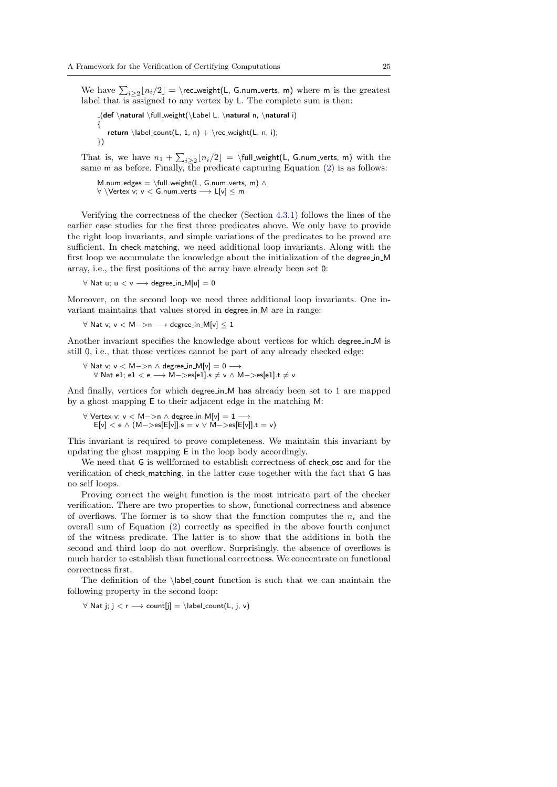We have  $\sum_{i\geq 2} \lfloor n_i/2 \rfloor = \rceil$ rec\_weight(L, G.num\_verts, m) where m is the greatest label that is assigned to any vertex by L. The complete sum is then:

```
(def \natural \full weight(\Label L, \natural n, \natural i)
{
    return \label{eq:rel} \label{rel} \label{rel} \backslash abel_count(L, 1, n) + \text{rec-weight}(L, n, i);})
```
That is, we have  $n_1 + \sum_{i \geq 2} \lfloor n_i/2 \rfloor = \delta(L)$  . G.num\_verts, m) with the same m as before. Finally, the predicate capturing Equation  $(2)$  is as follows:

M.num\_edges = \full\_weight(L, G.num\_verts, m)  $\wedge$ ∀ \Vertex v; v < G.num verts −→ L[v] ≤ m

Verifying the correctness of the checker (Section [4.3.1\)](#page-21-0) follows the lines of the earlier case studies for the first three predicates above. We only have to provide the right loop invariants, and simple variations of the predicates to be proved are sufficient. In check matching, we need additional loop invariants. Along with the first loop we accumulate the knowledge about the initialization of the degree in M array, i.e., the first positions of the array have already been set 0:

 $\forall$  Nat u; u  $\lt v \rightarrow$  degree\_in\_M[u] = 0

Moreover, on the second loop we need three additional loop invariants. One invariant maintains that values stored in degree in M are in range:

```
\forall Nat v; v < M->n \rightarrow degree_in_M[v] < 1
```
Another invariant specifies the knowledge about vertices for which degree in M is still 0, i.e., that those vertices cannot be part of any already checked edge:

```
∀ Nat v; v < M−>n ∧ degree in M[v] = 0 −→
   \forall Nat e1; e1 < e → M->es[e1].s \neq v ∧ M->es[e1].t \neq v
```
And finally, vertices for which degree in M has already been set to 1 are mapped by a ghost mapping E to their adjacent edge in the matching M:

∀ Vertex v; v < M−>n ∧ degree in M[v] = 1 −→ E[v] < e ∧ (M−>es[E[v]].s = v ∨ M−>es[E[v]].t = v)

This invariant is required to prove completeness. We maintain this invariant by updating the ghost mapping E in the loop body accordingly.

We need that G is wellformed to establish correctness of check\_osc and for the verification of check matching, in the latter case together with the fact that G has no self loops.

Proving correct the weight function is the most intricate part of the checker verification. There are two properties to show, functional correctness and absence of overflows. The former is to show that the function computes the  $n_i$  and the overall sum of Equation [\(2\)](#page-20-1) correctly as specified in the above fourth conjunct of the witness predicate. The latter is to show that the additions in both the second and third loop do not overflow. Surprisingly, the absence of overflows is much harder to establish than functional correctness. We concentrate on functional correctness first.

The definition of the \label count function is such that we can maintain the following property in the second loop:

 $\forall$  Nat j; j < r  $\rightarrow$  count[j] = \label\_count(L, j, v)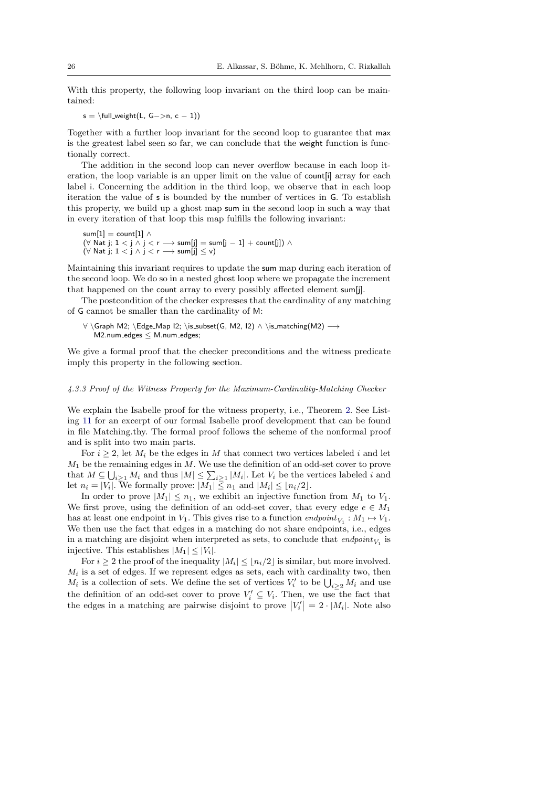With this property, the following loop invariant on the third loop can be maintained:

 $s = \tilde{\text{L}, G->n, c - 1)}$ 

Together with a further loop invariant for the second loop to guarantee that max is the greatest label seen so far, we can conclude that the weight function is functionally correct.

The addition in the second loop can never overflow because in each loop iteration, the loop variable is an upper limit on the value of count is array for each label i. Concerning the addition in the third loop, we observe that in each loop iteration the value of s is bounded by the number of vertices in G. To establish this property, we build up a ghost map sum in the second loop in such a way that in every iteration of that loop this map fulfills the following invariant:

```
sum[1] = count[1] \wedge(∀ Nat j; 1 < j \land j < r \longrightarrow sum[j] = sum[j - 1] + count[j]) \land(\forall \text{ Nat j}; 1 < j \land j < r \longrightarrow \textsf{sum[j]} \leq \vee)
```
Maintaining this invariant requires to update the sum map during each iteration of the second loop. We do so in a nested ghost loop where we propagate the increment that happened on the count array to every possibly affected element sum[j].

The postcondition of the checker expresses that the cardinality of any matching of G cannot be smaller than the cardinality of M:

```
∀ \Graph M2; \Edge Map I2; \is subset(G, M2, I2) ∧ \is matching(M2) −→
  M2.num_edges < M.num_edges;
```
We give a formal proof that the checker preconditions and the witness predicate imply this property in the following section.

### <span id="page-25-0"></span>4.3.3 Proof of the Witness Property for the Maximum-Cardinality-Matching Checker

We explain the Isabelle proof for the witness property, i.e., Theorem [2.](#page-20-2) See Listing [11](#page-26-1) for an excerpt of our formal Isabelle proof development that can be found in file Matching.thy. The formal proof follows the scheme of the nonformal proof and is split into two main parts.

For  $i \geq 2$ , let  $M_i$  be the edges in M that connect two vertices labeled i and let  $M_1$  be the remaining edges in M. We use the definition of an odd-set cover to prove that  $M \subseteq \bigcup_{i \geq 1} M_i$  and thus  $|M| \leq \sum_{i \geq 1} |M_i|$ . Let  $V_i$  be the vertices labeled i and let  $n_i = |V_i|$ . We formally prove:  $|M_1| \leq n_1$  and  $|M_i| \leq \lfloor n_i/2 \rfloor$ .

In order to prove  $|M_1| \leq n_1$ , we exhibit an injective function from  $M_1$  to  $V_1$ . We first prove, using the definition of an odd-set cover, that every edge  $e \in M_1$ has at least one endpoint in  $V_1$ . This gives rise to a function  $\mathit{endpoint}_{V_1} : M_1 \mapsto V_1$ . We then use the fact that edges in a matching do not share endpoints, i.e., edges in a matching are disjoint when interpreted as sets, to conclude that  $\epsilon n dpoint_{V_1}$  is injective. This establishes  $|M_1| \leq |V_i|$ .

For  $i \geq 2$  the proof of the inequality  $|M_i| \leq \lfloor n_i/2 \rfloor$  is similar, but more involved.  $M_i$  is a set of edges. If we represent edges as sets, each with cardinality two, then  $M_i$  is a collection of sets. We define the set of vertices  $V'_i$  to be  $\bigcup_{i\geq 2} M_i$  and use the definition of an odd-set cover to prove  $V_i' \subseteq V_i$ . Then, we use the fact that the edges in a matching are pairwise disjoint to prove  $|V_i'| = 2 \cdot |M_i|$ . Note also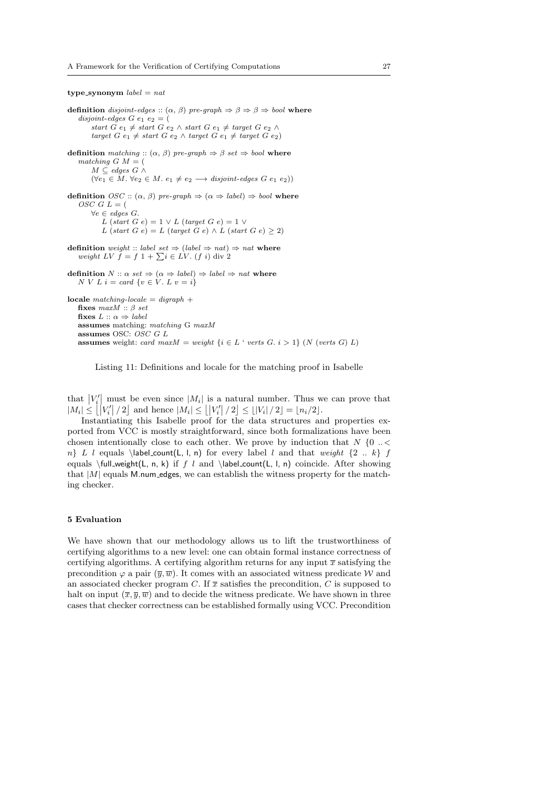<span id="page-26-1"></span>type synonym  $label = nat$ 

definition disjoint-edges ::  $(\alpha, \beta)$  pre-graph  $\Rightarrow \beta \Rightarrow \beta \Rightarrow \text{bool}$  where disjoint-edges  $G$  e<sub>1</sub> e<sub>2</sub> = ( start  $\tilde{G} e_1 \neq start \ G \ \tilde{e}_2 \wedge start \ G \ e_1 \neq target \ G \ e_2 \wedge$ target  $G$   $e_1 \neq start G$   $e_2 \wedge target G$   $e_1 \neq target G$   $e_2)$ definition matching ::  $(\alpha, \beta)$  pre-graph  $\Rightarrow \beta$  set  $\Rightarrow$  bool where matching G  $M =$  $M \subseteq edges \ G \wedge$  $(\forall e_1 \in M. \ \forall e_2 \in M. \ e_1 \neq e_2 \longrightarrow disjoint\text{-}edges \ G \ e_1 \ e_2))$ definition  $OSC :: (\alpha, \beta)$  pre-graph  $\Rightarrow (\alpha \Rightarrow label) \Rightarrow bool$  where OSC  $G$   $L = ($ ∀e ∈ edges G. L (start G e) =  $1 \vee L$  (target G e) =  $1 \vee$ L (start G e) = L (target G e)  $\wedge$  L (start G e)  $\geq$  2) definition weight :: label set  $\Rightarrow$  (label  $\Rightarrow$  nat)  $\Rightarrow$  nat where weight LV  $f = f \, 1 + \sum i \in LV$ . (f i) div 2 definition  $N :: \alpha set \Rightarrow (\alpha \Rightarrow label) \Rightarrow label \Rightarrow nat$  where N V L  $i = \text{card } \{v \in V$ . L  $v = i\}$ locale matching-locale  $=$  digraph  $+$ fixes  $maxM :: \beta$  set fixes  $L :: \alpha \Rightarrow label$ assumes matching: matching G maxM assumes OSC:  $\overrightarrow{OSC}$  G L assumes weight: card max $M = weight \{i \in L : vertex G. i > 1\}$  (N (verts G) L)

Listing 11: Definitions and locale for the matching proof in Isabelle

that  $|V_i'|$  must be even since  $|M_i|$  is a natural number. Thus we can prove that  $|M_i| \leq |V'_i|/2$  and hence  $|M_i| \leq |V'_i|/2 \leq |V_i|/2 = |n_i/2|$ .

Instantiating this Isabelle proof for the data structures and properties exported from VCC is mostly straightforward, since both formalizations have been chosen intentionally close to each other. We prove by induction that  $N \{0 \ldots \leq \infty\}$  $n$ } L l equals \label\_count(L, l, n) for every label l and that weight {2 .. k} f equals  $\full-weight(L, n, k)$  if f l and  $\label{clm}$  and  $\label{clm}$  and  $\label{clm}$  and  $\label{clm}$ that |M| equals M.num edges, we can establish the witness property for the matching checker.

# <span id="page-26-0"></span>5 Evaluation

We have shown that our methodology allows us to lift the trustworthiness of certifying algorithms to a new level: one can obtain formal instance correctness of certifying algorithms. A certifying algorithm returns for any input  $\bar{x}$  satisfying the precondition  $\varphi$  a pair  $(\overline{y}, \overline{w})$ . It comes with an associated witness predicate W and an associated checker program C. If  $\bar{x}$  satisfies the precondition, C is supposed to halt on input  $(\bar{x}, \bar{y}, \bar{w})$  and to decide the witness predicate. We have shown in three cases that checker correctness can be established formally using VCC. Precondition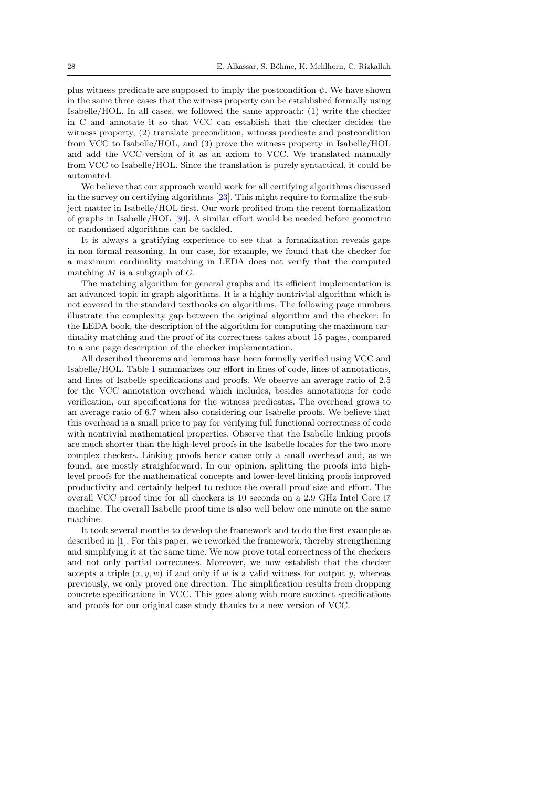plus witness predicate are supposed to imply the postcondition  $\psi$ . We have shown in the same three cases that the witness property can be established formally using Isabelle/HOL. In all cases, we followed the same approach: (1) write the checker in C and annotate it so that VCC can establish that the checker decides the witness property, (2) translate precondition, witness predicate and postcondition from VCC to Isabelle/HOL, and (3) prove the witness property in Isabelle/HOL and add the VCC-version of it as an axiom to VCC. We translated manually from VCC to Isabelle/HOL. Since the translation is purely syntactical, it could be automated.

We believe that our approach would work for all certifying algorithms discussed in the survey on certifying algorithms [\[23\]](#page-31-1). This might require to formalize the subject matter in Isabelle/HOL first. Our work profited from the recent formalization of graphs in Isabelle/HOL [\[30\]](#page-31-8). A similar effort would be needed before geometric or randomized algorithms can be tackled.

It is always a gratifying experience to see that a formalization reveals gaps in non formal reasoning. In our case, for example, we found that the checker for a maximum cardinality matching in LEDA does not verify that the computed matching  $M$  is a subgraph of  $G$ .

The matching algorithm for general graphs and its efficient implementation is an advanced topic in graph algorithms. It is a highly nontrivial algorithm which is not covered in the standard textbooks on algorithms. The following page numbers illustrate the complexity gap between the original algorithm and the checker: In the LEDA book, the description of the algorithm for computing the maximum cardinality matching and the proof of its correctness takes about 15 pages, compared to a one page description of the checker implementation.

All described theorems and lemmas have been formally verified using VCC and Isabelle/HOL. Table [1](#page-28-1) summarizes our effort in lines of code, lines of annotations, and lines of Isabelle specifications and proofs. We observe an average ratio of 2.5 for the VCC annotation overhead which includes, besides annotations for code verification, our specifications for the witness predicates. The overhead grows to an average ratio of 6.7 when also considering our Isabelle proofs. We believe that this overhead is a small price to pay for verifying full functional correctness of code with nontrivial mathematical properties. Observe that the Isabelle linking proofs are much shorter than the high-level proofs in the Isabelle locales for the two more complex checkers. Linking proofs hence cause only a small overhead and, as we found, are mostly straighforward. In our opinion, splitting the proofs into highlevel proofs for the mathematical concepts and lower-level linking proofs improved productivity and certainly helped to reduce the overall proof size and effort. The overall VCC proof time for all checkers is 10 seconds on a 2.9 GHz Intel Core i7 machine. The overall Isabelle proof time is also well below one minute on the same machine.

It took several months to develop the framework and to do the first example as described in [\[1\]](#page-30-1). For this paper, we reworked the framework, thereby strengthening and simplifying it at the same time. We now prove total correctness of the checkers and not only partial correctness. Moreover, we now establish that the checker accepts a triple  $(x, y, w)$  if and only if w is a valid witness for output y, whereas previously, we only proved one direction. The simplification results from dropping concrete specifications in VCC. This goes along with more succinct specifications and proofs for our original case study thanks to a new version of VCC.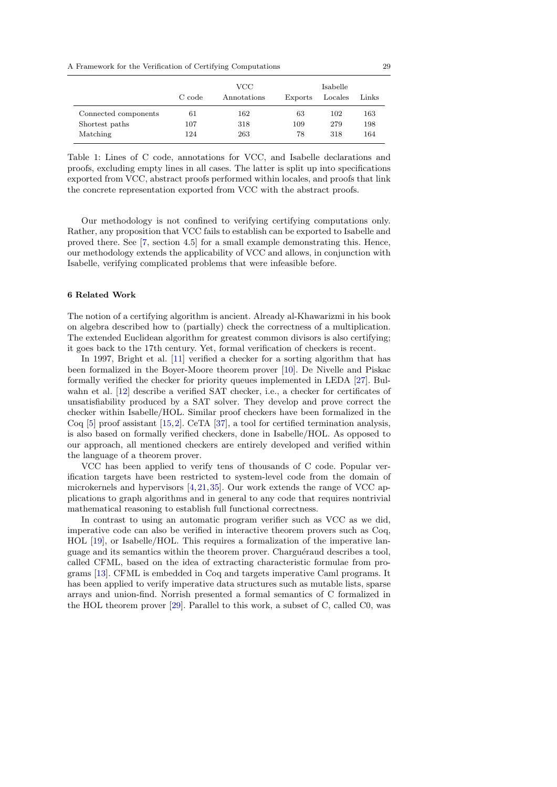A Framework for the Verification of Certifying Computations 29

<span id="page-28-1"></span>

|                      | C code | VCC.<br>Annotations | Exports | Isabelle<br>Locales | Links |
|----------------------|--------|---------------------|---------|---------------------|-------|
| Connected components | 61     | 162                 | 63      | 102                 | 163   |
| Shortest paths       | 107    | 318                 | 109     | 279                 | 198   |
| Matching             | 124    | 263                 | 78      | 318                 | 164   |

Table 1: Lines of C code, annotations for VCC, and Isabelle declarations and proofs, excluding empty lines in all cases. The latter is split up into specifications exported from VCC, abstract proofs performed within locales, and proofs that link the concrete representation exported from VCC with the abstract proofs.

Our methodology is not confined to verifying certifying computations only. Rather, any proposition that VCC fails to establish can be exported to Isabelle and proved there. See [\[7,](#page-30-3) section 4.5] for a small example demonstrating this. Hence, our methodology extends the applicability of VCC and allows, in conjunction with Isabelle, verifying complicated problems that were infeasible before.

# <span id="page-28-0"></span>6 Related Work

The notion of a certifying algorithm is ancient. Already al-Khawarizmi in his book on algebra described how to (partially) check the correctness of a multiplication. The extended Euclidean algorithm for greatest common divisors is also certifying; it goes back to the 17th century. Yet, formal verification of checkers is recent.

In 1997, Bright et al. [\[11\]](#page-30-4) verified a checker for a sorting algorithm that has been formalized in the Boyer-Moore theorem prover [\[10\]](#page-30-5). De Nivelle and Piskac formally verified the checker for priority queues implemented in LEDA [\[27\]](#page-31-12). Bulwahn et al. [\[12\]](#page-30-6) describe a verified SAT checker, i.e., a checker for certificates of unsatisfiability produced by a SAT solver. They develop and prove correct the checker within Isabelle/HOL. Similar proof checkers have been formalized in the Coq [\[5\]](#page-30-7) proof assistant [\[15,](#page-31-13)[2\]](#page-30-8). CeTA [\[37\]](#page-31-14), a tool for certified termination analysis, is also based on formally verified checkers, done in Isabelle/HOL. As opposed to our approach, all mentioned checkers are entirely developed and verified within the language of a theorem prover.

VCC has been applied to verify tens of thousands of C code. Popular verification targets have been restricted to system-level code from the domain of microkernels and hypervisors [\[4,](#page-30-9)[21,](#page-31-15)[35\]](#page-31-16). Our work extends the range of VCC applications to graph algorithms and in general to any code that requires nontrivial mathematical reasoning to establish full functional correctness.

In contrast to using an automatic program verifier such as VCC as we did, imperative code can also be verified in interactive theorem provers such as Coq, HOL [\[19\]](#page-31-17), or Isabelle/HOL. This requires a formalization of the imperative language and its semantics within the theorem prover. Charguéraud describes a tool, called CFML, based on the idea of extracting characteristic formulae from programs [\[13\]](#page-30-10). CFML is embedded in Coq and targets imperative Caml programs. It has been applied to verify imperative data structures such as mutable lists, sparse arrays and union-find. Norrish presented a formal semantics of C formalized in the HOL theorem prover [\[29\]](#page-31-18). Parallel to this work, a subset of C, called C0, was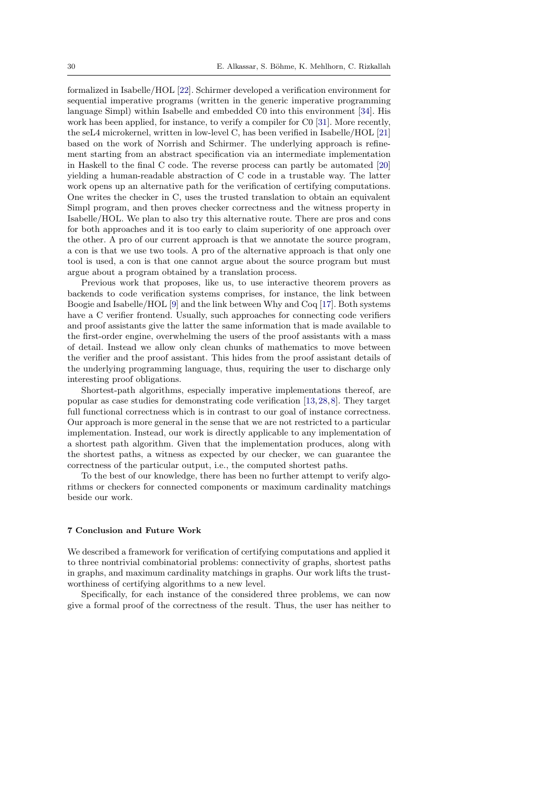formalized in Isabelle/HOL [\[22\]](#page-31-19). Schirmer developed a verification environment for sequential imperative programs (written in the generic imperative programming language Simpl) within Isabelle and embedded C0 into this environment [\[34\]](#page-31-20). His work has been applied, for instance, to verify a compiler for C0 [\[31\]](#page-31-21). More recently, the seL4 microkernel, written in low-level C, has been verified in Isabelle/HOL [\[21\]](#page-31-15) based on the work of Norrish and Schirmer. The underlying approach is refinement starting from an abstract specification via an intermediate implementation in Haskell to the final C code. The reverse process can partly be automated [\[20\]](#page-31-22) yielding a human-readable abstraction of C code in a trustable way. The latter work opens up an alternative path for the verification of certifying computations. One writes the checker in C, uses the trusted translation to obtain an equivalent Simpl program, and then proves checker correctness and the witness property in Isabelle/HOL. We plan to also try this alternative route. There are pros and cons for both approaches and it is too early to claim superiority of one approach over the other. A pro of our current approach is that we annotate the source program, a con is that we use two tools. A pro of the alternative approach is that only one tool is used, a con is that one cannot argue about the source program but must argue about a program obtained by a translation process.

Previous work that proposes, like us, to use interactive theorem provers as backends to code verification systems comprises, for instance, the link between Boogie and Isabelle/HOL [\[9\]](#page-30-11) and the link between Why and Coq [\[17\]](#page-31-23). Both systems have a C verifier frontend. Usually, such approaches for connecting code verifiers and proof assistants give the latter the same information that is made available to the first-order engine, overwhelming the users of the proof assistants with a mass of detail. Instead we allow only clean chunks of mathematics to move between the verifier and the proof assistant. This hides from the proof assistant details of the underlying programming language, thus, requiring the user to discharge only interesting proof obligations.

Shortest-path algorithms, especially imperative implementations thereof, are popular as case studies for demonstrating code verification [\[13,](#page-30-10)[28,](#page-31-24)[8\]](#page-30-12). They target full functional correctness which is in contrast to our goal of instance correctness. Our approach is more general in the sense that we are not restricted to a particular implementation. Instead, our work is directly applicable to any implementation of a shortest path algorithm. Given that the implementation produces, along with the shortest paths, a witness as expected by our checker, we can guarantee the correctness of the particular output, i.e., the computed shortest paths.

To the best of our knowledge, there has been no further attempt to verify algorithms or checkers for connected components or maximum cardinality matchings beside our work.

### <span id="page-29-0"></span>7 Conclusion and Future Work

We described a framework for verification of certifying computations and applied it to three nontrivial combinatorial problems: connectivity of graphs, shortest paths in graphs, and maximum cardinality matchings in graphs. Our work lifts the trustworthiness of certifying algorithms to a new level.

Specifically, for each instance of the considered three problems, we can now give a formal proof of the correctness of the result. Thus, the user has neither to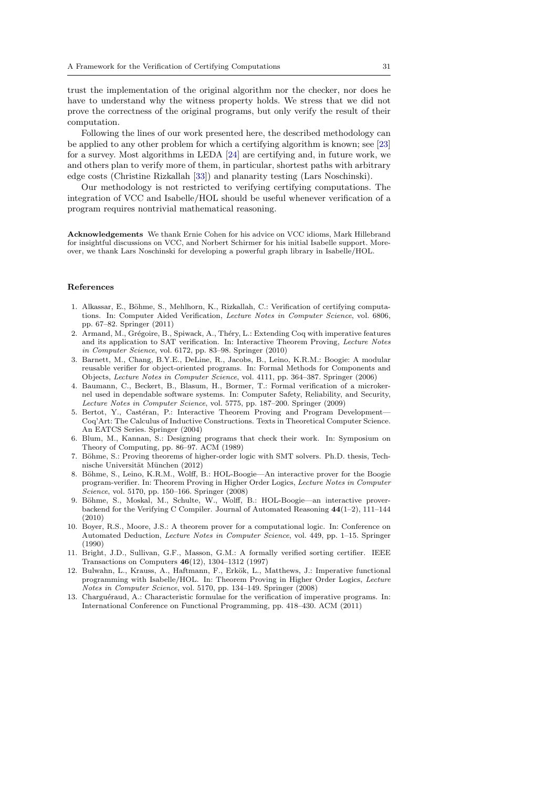trust the implementation of the original algorithm nor the checker, nor does he have to understand why the witness property holds. We stress that we did not prove the correctness of the original programs, but only verify the result of their computation.

Following the lines of our work presented here, the described methodology can be applied to any other problem for which a certifying algorithm is known; see [\[23\]](#page-31-1) for a survey. Most algorithms in LEDA [\[24\]](#page-31-2) are certifying and, in future work, we and others plan to verify more of them, in particular, shortest paths with arbitrary edge costs (Christine Rizkallah [\[33\]](#page-31-9)) and planarity testing (Lars Noschinski).

Our methodology is not restricted to verifying certifying computations. The integration of VCC and Isabelle/HOL should be useful whenever verification of a program requires nontrivial mathematical reasoning.

Acknowledgements We thank Ernie Cohen for his advice on VCC idioms, Mark Hillebrand for insightful discussions on VCC, and Norbert Schirmer for his initial Isabelle support. Moreover, we thank Lars Noschinski for developing a powerful graph library in Isabelle/HOL.

# References

- <span id="page-30-1"></span>1. Alkassar, E., Böhme, S., Mehlhorn, K., Rizkallah, C.: Verification of certifying computations. In: Computer Aided Verification, Lecture Notes in Computer Science, vol. 6806, pp. 67–82. Springer (2011)
- <span id="page-30-8"></span>2. Armand, M., Grégoire, B., Spiwack, A., Théry, L.: Extending Coq with imperative features and its application to SAT verification. In: Interactive Theorem Proving, Lecture Notes in Computer Science, vol. 6172, pp. 83–98. Springer (2010)
- <span id="page-30-2"></span>3. Barnett, M., Chang, B.Y.E., DeLine, R., Jacobs, B., Leino, K.R.M.: Boogie: A modular reusable verifier for object-oriented programs. In: Formal Methods for Components and Objects, Lecture Notes in Computer Science, vol. 4111, pp. 364–387. Springer (2006)
- <span id="page-30-9"></span>4. Baumann, C., Beckert, B., Blasum, H., Bormer, T.: Formal verification of a microkernel used in dependable software systems. In: Computer Safety, Reliability, and Security, Lecture Notes in Computer Science, vol. 5775, pp. 187–200. Springer (2009)
- <span id="page-30-7"></span>5. Bertot, Y., Castéran, P.: Interactive Theorem Proving and Program Development— Coq'Art: The Calculus of Inductive Constructions. Texts in Theoretical Computer Science. An EATCS Series. Springer (2004)
- <span id="page-30-0"></span>6. Blum, M., Kannan, S.: Designing programs that check their work. In: Symposium on Theory of Computing, pp. 86–97. ACM (1989)
- <span id="page-30-3"></span>7. Böhme, S.: Proving theorems of higher-order logic with SMT solvers. Ph.D. thesis, Technische Universität München (2012)
- <span id="page-30-12"></span>8. Böhme, S., Leino, K.R.M., Wolff, B.: HOL-Boogie—An interactive prover for the Boogie program-verifier. In: Theorem Proving in Higher Order Logics, Lecture Notes in Computer Science, vol. 5170, pp. 150–166. Springer (2008)
- <span id="page-30-11"></span>Böhme, S., Moskal, M., Schulte, W., Wolff, B.: HOL-Boogie—an interactive proverbackend for the Verifying C Compiler. Journal of Automated Reasoning 44(1–2), 111–144 (2010)
- <span id="page-30-5"></span>10. Boyer, R.S., Moore, J.S.: A theorem prover for a computational logic. In: Conference on Automated Deduction, Lecture Notes in Computer Science, vol. 449, pp. 1–15. Springer (1990)
- <span id="page-30-4"></span>11. Bright, J.D., Sullivan, G.F., Masson, G.M.: A formally verified sorting certifier. IEEE Transactions on Computers 46(12), 1304–1312 (1997)
- <span id="page-30-6"></span>12. Bulwahn, L., Krauss, A., Haftmann, F., Erkök, L., Matthews, J.: Imperative functional programming with Isabelle/HOL. In: Theorem Proving in Higher Order Logics, Lecture Notes in Computer Science, vol. 5170, pp. 134–149. Springer (2008)
- <span id="page-30-10"></span>13. Charguéraud, A.: Characteristic formulae for the verification of imperative programs. In: International Conference on Functional Programming, pp. 418–430. ACM (2011)